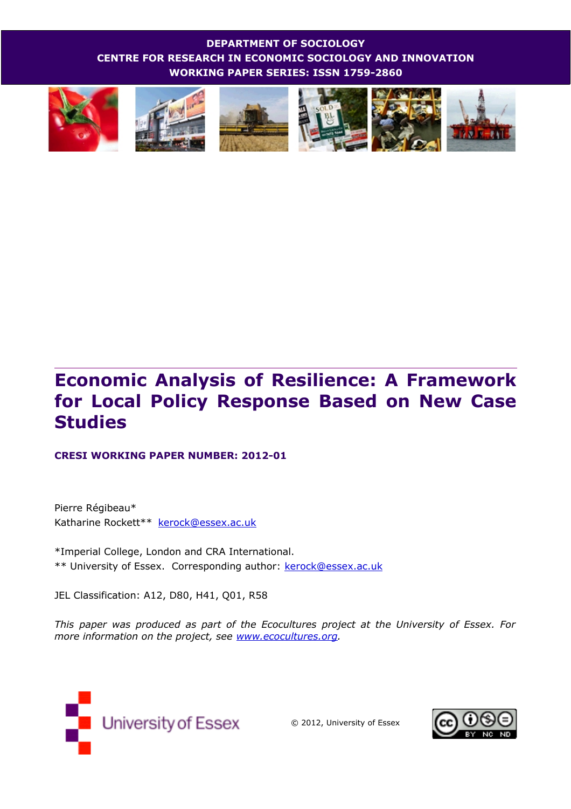# **DEPARTMENT OF SOCIOLOGY CENTRE FOR RESEARCH IN ECONOMIC SOCIOLOGY AND INNOVATION WORKING PAPER SERIES: ISSN 1759-2860**













# **Economic Analysis of Resilience: A Framework for Local Policy Response Based on New Case Studies**

### **CRESI WORKING PAPER NUMBER: 2012-01**

Pierre Régibeau\* Katharine Rockett\*\* [kerock@essex.ac.uk](mailto:kerock@essex.ac.uk)

\*Imperial College, London and CRA International. \*\* University of Essex. Corresponding author: [kerock@essex.ac.uk](mailto:kerock@essex.ac.uk)

JEL Classification: A12, D80, H41, Q01, R58

*This paper was produced as part of the Ecocultures project at the University of Essex. For more information on the project, see [www.ecocultures.org.](http://www.ecocultures.org/)* 



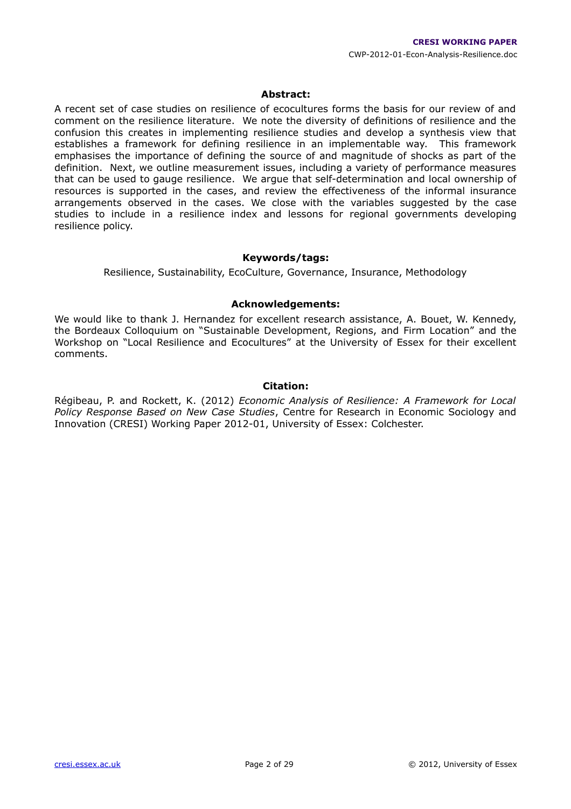#### **Abstract:**

A recent set of case studies on resilience of ecocultures forms the basis for our review of and comment on the resilience literature. We note the diversity of definitions of resilience and the confusion this creates in implementing resilience studies and develop a synthesis view that establishes a framework for defining resilience in an implementable way. This framework emphasises the importance of defining the source of and magnitude of shocks as part of the definition. Next, we outline measurement issues, including a variety of performance measures that can be used to gauge resilience. We argue that self-determination and local ownership of resources is supported in the cases, and review the effectiveness of the informal insurance arrangements observed in the cases. We close with the variables suggested by the case studies to include in a resilience index and lessons for regional governments developing resilience policy.

#### **Keywords/tags:**

Resilience, Sustainability, EcoCulture, Governance, Insurance, Methodology

#### **Acknowledgements:**

We would like to thank J. Hernandez for excellent research assistance, A. Bouet, W. Kennedy, the Bordeaux Colloquium on "Sustainable Development, Regions, and Firm Location" and the Workshop on "Local Resilience and Ecocultures" at the University of Essex for their excellent comments.

#### **Citation:**

Régibeau, P. and Rockett, K. (2012) *Economic Analysis of Resilience: A Framework for Local Policy Response Based on New Case Studies*, Centre for Research in Economic Sociology and Innovation (CRESI) Working Paper 2012-01, University of Essex: Colchester.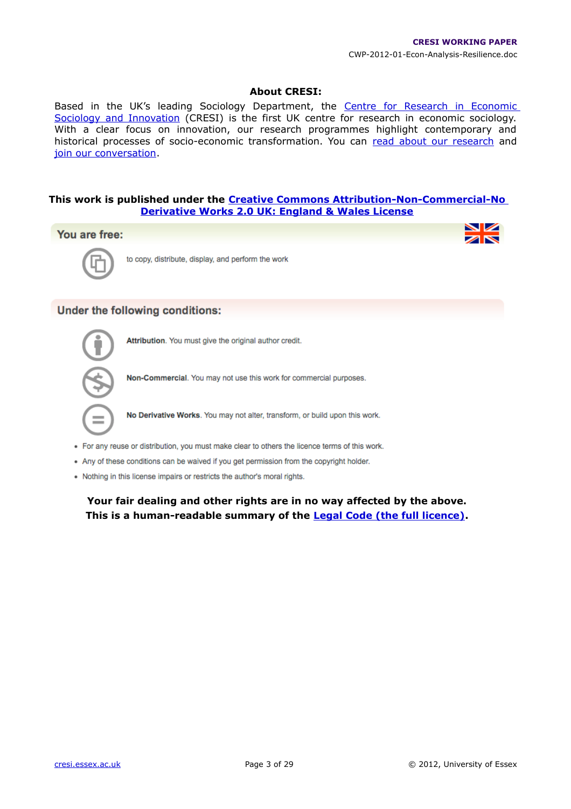#### **About CRESI:**

Based in the UK's leading Sociology Department, the [Centre for Research in Economic](http://cresi.essex.ac.uk/) [Sociology and Innovation](http://cresi.essex.ac.uk/) (CRESI) is the first UK centre for research in economic sociology. With a clear focus on innovation, our research programmes highlight contemporary and historical processes of socio-economic transformation. You can [read about our research](http://cresi.essex.ac.uk/) and [join our conversation.](http://cresi.wordpress.com/)

#### **This work is published under the [Creative Commons Attribution-Non-Commercial-No](http://creativecommons.org/licenses/by-nc-nd/2.0/uk/) [Derivative Works 2.0 UK: England & Wales License](http://creativecommons.org/licenses/by-nc-nd/2.0/uk/)**







to copy, distribute, display, and perform the work

Under the following conditions:



Attribution. You must give the original author credit.

Non-Commercial. You may not use this work for commercial purposes.

No Derivative Works. You may not alter, transform, or build upon this work.

- For any reuse or distribution, you must make clear to others the licence terms of this work.
- Any of these conditions can be waived if you get permission from the copyright holder.
- Nothing in this license impairs or restricts the author's moral rights.

**Your fair dealing and other rights are in no way affected by the above. This is a human-readable summary of the [Legal Code \(the full licence\).](http://creativecommons.org/licenses/by-nc-nd/2.0/uk/legalcode)**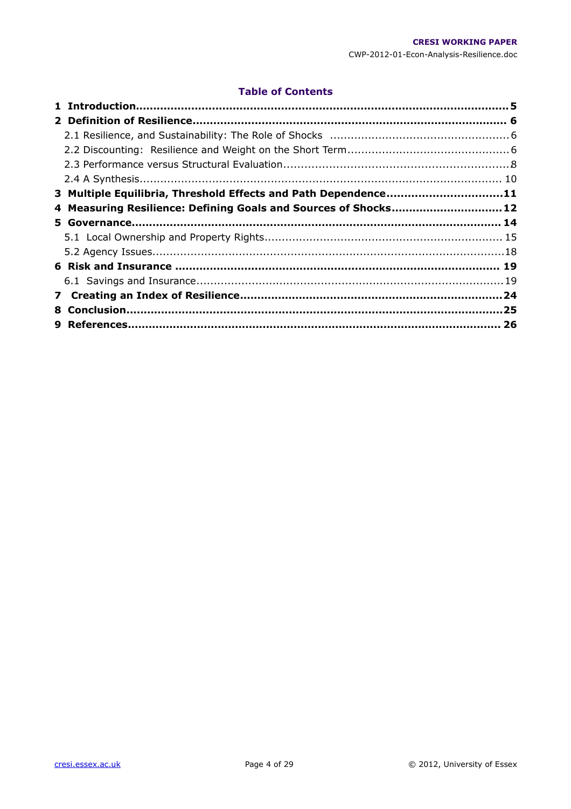### **Table of Contents**

|   | 3 Multiple Equilibria, Threshold Effects and Path Dependence11 |  |
|---|----------------------------------------------------------------|--|
| 4 | Measuring Resilience: Defining Goals and Sources of Shocks 12  |  |
|   |                                                                |  |
|   |                                                                |  |
|   |                                                                |  |
|   |                                                                |  |
|   |                                                                |  |
|   |                                                                |  |
|   | 7                                                              |  |
|   |                                                                |  |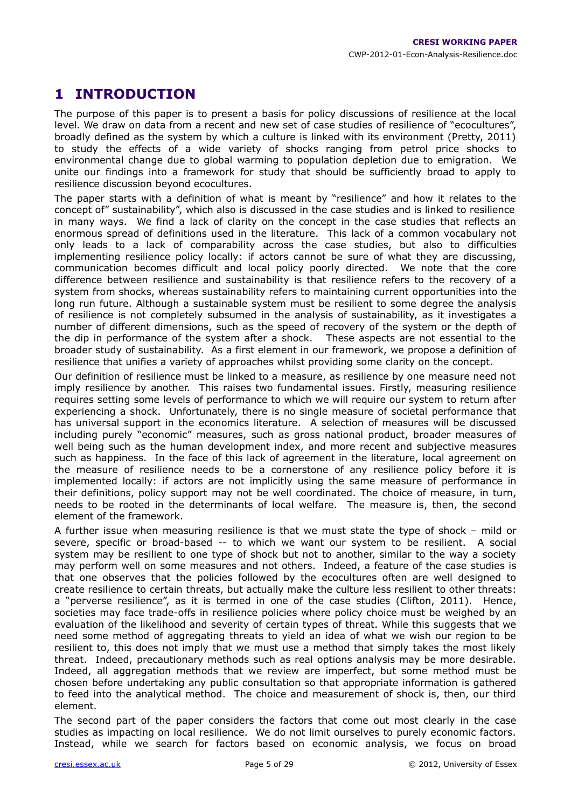# **1 INTRODUCTION**

The purpose of this paper is to present a basis for policy discussions of resilience at the local level. We draw on data from a recent and new set of case studies of resilience of "ecocultures", broadly defined as the system by which a culture is linked with its environment (Pretty, 2011) to study the effects of a wide variety of shocks ranging from petrol price shocks to environmental change due to global warming to population depletion due to emigration. We unite our findings into a framework for study that should be sufficiently broad to apply to resilience discussion beyond ecocultures.

The paper starts with a definition of what is meant by "resilience" and how it relates to the concept of" sustainability", which also is discussed in the case studies and is linked to resilience in many ways. We find a lack of clarity on the concept in the case studies that reflects an enormous spread of definitions used in the literature. This lack of a common vocabulary not only leads to a lack of comparability across the case studies, but also to difficulties implementing resilience policy locally: if actors cannot be sure of what they are discussing, communication becomes difficult and local policy poorly directed. We note that the core difference between resilience and sustainability is that resilience refers to the recovery of a system from shocks, whereas sustainability refers to maintaining current opportunities into the long run future. Although a sustainable system must be resilient to some degree the analysis of resilience is not completely subsumed in the analysis of sustainability, as it investigates a number of different dimensions, such as the speed of recovery of the system or the depth of the dip in performance of the system after a shock. These aspects are not essential to the broader study of sustainability. As a first element in our framework, we propose a definition of resilience that unifies a variety of approaches whilst providing some clarity on the concept.

Our definition of resilience must be linked to a measure, as resilience by one measure need not imply resilience by another. This raises two fundamental issues. Firstly, measuring resilience requires setting some levels of performance to which we will require our system to return after experiencing a shock. Unfortunately, there is no single measure of societal performance that has universal support in the economics literature. A selection of measures will be discussed including purely "economic" measures, such as gross national product, broader measures of well being such as the human development index, and more recent and subjective measures such as happiness. In the face of this lack of agreement in the literature, local agreement on the measure of resilience needs to be a cornerstone of any resilience policy before it is implemented locally: if actors are not implicitly using the same measure of performance in their definitions, policy support may not be well coordinated. The choice of measure, in turn, needs to be rooted in the determinants of local welfare. The measure is, then, the second element of the framework.

A further issue when measuring resilience is that we must state the type of shock – mild or severe, specific or broad-based -- to which we want our system to be resilient. A social system may be resilient to one type of shock but not to another, similar to the way a society may perform well on some measures and not others. Indeed, a feature of the case studies is that one observes that the policies followed by the ecocultures often are well designed to create resilience to certain threats, but actually make the culture less resilient to other threats: a "perverse resilience", as it is termed in one of the case studies (Clifton, 2011). Hence, societies may face trade-offs in resilience policies where policy choice must be weighed by an evaluation of the likelihood and severity of certain types of threat. While this suggests that we need some method of aggregating threats to yield an idea of what we wish our region to be resilient to, this does not imply that we must use a method that simply takes the most likely threat. Indeed, precautionary methods such as real options analysis may be more desirable. Indeed, all aggregation methods that we review are imperfect, but some method must be chosen before undertaking any public consultation so that appropriate information is gathered to feed into the analytical method. The choice and measurement of shock is, then, our third element.

The second part of the paper considers the factors that come out most clearly in the case studies as impacting on local resilience. We do not limit ourselves to purely economic factors. Instead, while we search for factors based on economic analysis, we focus on broad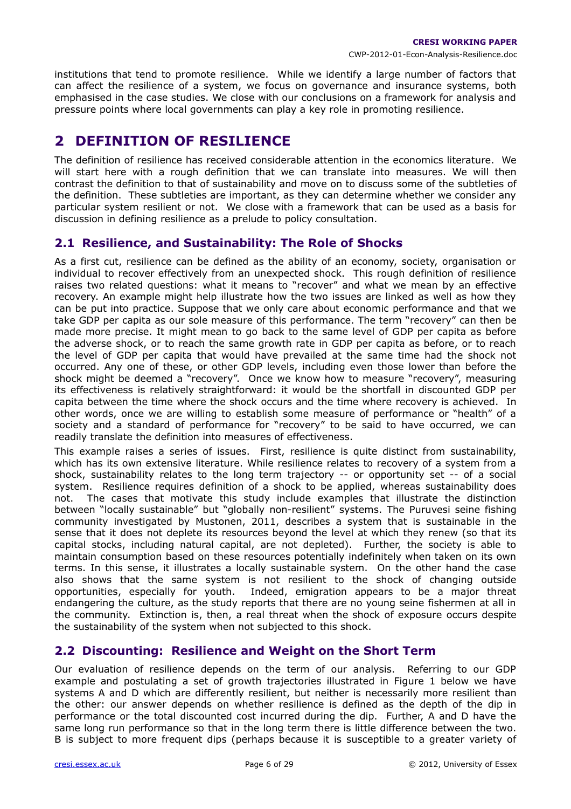institutions that tend to promote resilience. While we identify a large number of factors that can affect the resilience of a system, we focus on governance and insurance systems, both emphasised in the case studies. We close with our conclusions on a framework for analysis and pressure points where local governments can play a key role in promoting resilience.

# **2 DEFINITION OF RESILIENCE**

The definition of resilience has received considerable attention in the economics literature. We will start here with a rough definition that we can translate into measures. We will then contrast the definition to that of sustainability and move on to discuss some of the subtleties of the definition. These subtleties are important, as they can determine whether we consider any particular system resilient or not. We close with a framework that can be used as a basis for discussion in defining resilience as a prelude to policy consultation.

### **2.1 Resilience, and Sustainability: The Role of Shocks**

As a first cut, resilience can be defined as the ability of an economy, society, organisation or individual to recover effectively from an unexpected shock. This rough definition of resilience raises two related questions: what it means to "recover" and what we mean by an effective recovery. An example might help illustrate how the two issues are linked as well as how they can be put into practice. Suppose that we only care about economic performance and that we take GDP per capita as our sole measure of this performance. The term "recovery" can then be made more precise. It might mean to go back to the same level of GDP per capita as before the adverse shock, or to reach the same growth rate in GDP per capita as before, or to reach the level of GDP per capita that would have prevailed at the same time had the shock not occurred. Any one of these, or other GDP levels, including even those lower than before the shock might be deemed a "recovery". Once we know how to measure "recovery", measuring its effectiveness is relatively straightforward: it would be the shortfall in discounted GDP per capita between the time where the shock occurs and the time where recovery is achieved. In other words, once we are willing to establish some measure of performance or "health" of a society and a standard of performance for "recovery" to be said to have occurred, we can readily translate the definition into measures of effectiveness.

This example raises a series of issues. First, resilience is quite distinct from sustainability, which has its own extensive literature. While resilience relates to recovery of a system from a shock, sustainability relates to the long term trajectory -- or opportunity set -- of a social system. Resilience requires definition of a shock to be applied, whereas sustainability does not. The cases that motivate this study include examples that illustrate the distinction between "locally sustainable" but "globally non-resilient" systems. The Puruvesi seine fishing community investigated by Mustonen, 2011, describes a system that is sustainable in the sense that it does not deplete its resources beyond the level at which they renew (so that its capital stocks, including natural capital, are not depleted). Further, the society is able to maintain consumption based on these resources potentially indefinitely when taken on its own terms. In this sense, it illustrates a locally sustainable system. On the other hand the case also shows that the same system is not resilient to the shock of changing outside opportunities, especially for youth. Indeed, emigration appears to be a major threat endangering the culture, as the study reports that there are no young seine fishermen at all in the community. Extinction is, then, a real threat when the shock of exposure occurs despite the sustainability of the system when not subjected to this shock.

### **2.2 Discounting: Resilience and Weight on the Short Term**

Our evaluation of resilience depends on the term of our analysis. Referring to our GDP example and postulating a set of growth trajectories illustrated in Figure 1 below we have systems A and D which are differently resilient, but neither is necessarily more resilient than the other: our answer depends on whether resilience is defined as the depth of the dip in performance or the total discounted cost incurred during the dip. Further, A and D have the same long run performance so that in the long term there is little difference between the two. B is subject to more frequent dips (perhaps because it is susceptible to a greater variety of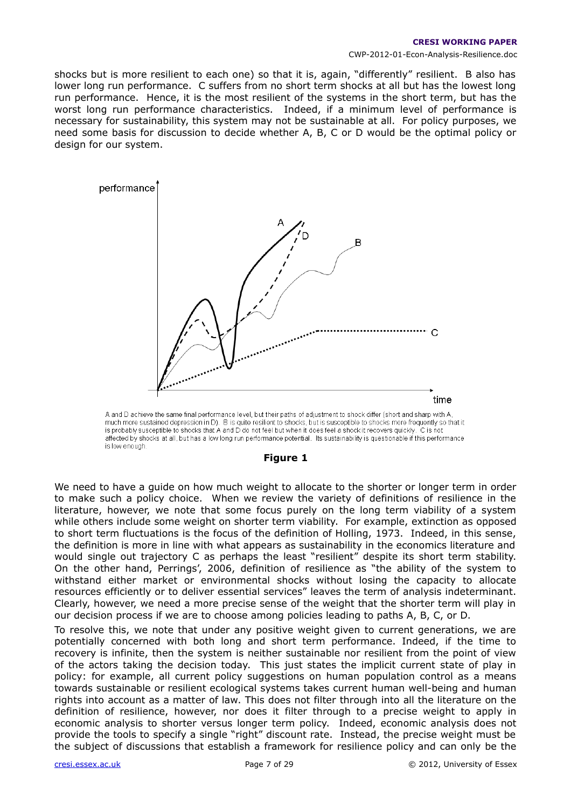#### **CRESI WORKING PAPER**

#### CWP-2012-01-Econ-Analysis-Resilience.doc

shocks but is more resilient to each one) so that it is, again, "differently" resilient. B also has lower long run performance. C suffers from no short term shocks at all but has the lowest long run performance. Hence, it is the most resilient of the systems in the short term, but has the worst long run performance characteristics. Indeed, if a minimum level of performance is necessary for sustainability, this system may not be sustainable at all. For policy purposes, we need some basis for discussion to decide whether A, B, C or D would be the optimal policy or design for our system.



A and D achieve the same final performance level, but their paths of adjustment to shock differ (short and sharp with A, much more sustained depression in D). B is quite resilient to shocks, but is susceptible to shocks more frequently so that it is probably susceptible to shocks that A and D do not feel but when it does feel a shock it recovers quickly. C is not affected by shocks at all, but has a low long run performance potential. Its sustainability is questionable if this performance is low enough

#### **Figure 1**

We need to have a guide on how much weight to allocate to the shorter or longer term in order to make such a policy choice. When we review the variety of definitions of resilience in the literature, however, we note that some focus purely on the long term viability of a system while others include some weight on shorter term viability. For example, extinction as opposed to short term fluctuations is the focus of the definition of Holling, 1973. Indeed, in this sense, the definition is more in line with what appears as sustainability in the economics literature and would single out trajectory C as perhaps the least "resilient" despite its short term stability. On the other hand, Perrings', 2006, definition of resilience as "the ability of the system to withstand either market or environmental shocks without losing the capacity to allocate resources efficiently or to deliver essential services" leaves the term of analysis indeterminant. Clearly, however, we need a more precise sense of the weight that the shorter term will play in our decision process if we are to choose among policies leading to paths A, B, C, or D.

To resolve this, we note that under any positive weight given to current generations, we are potentially concerned with both long and short term performance. Indeed, if the time to recovery is infinite, then the system is neither sustainable nor resilient from the point of view of the actors taking the decision today. This just states the implicit current state of play in policy: for example, all current policy suggestions on human population control as a means towards sustainable or resilient ecological systems takes current human well-being and human rights into account as a matter of law. This does not filter through into all the literature on the definition of resilience, however, nor does it filter through to a precise weight to apply in economic analysis to shorter versus longer term policy. Indeed, economic analysis does not provide the tools to specify a single "right" discount rate. Instead, the precise weight must be the subject of discussions that establish a framework for resilience policy and can only be the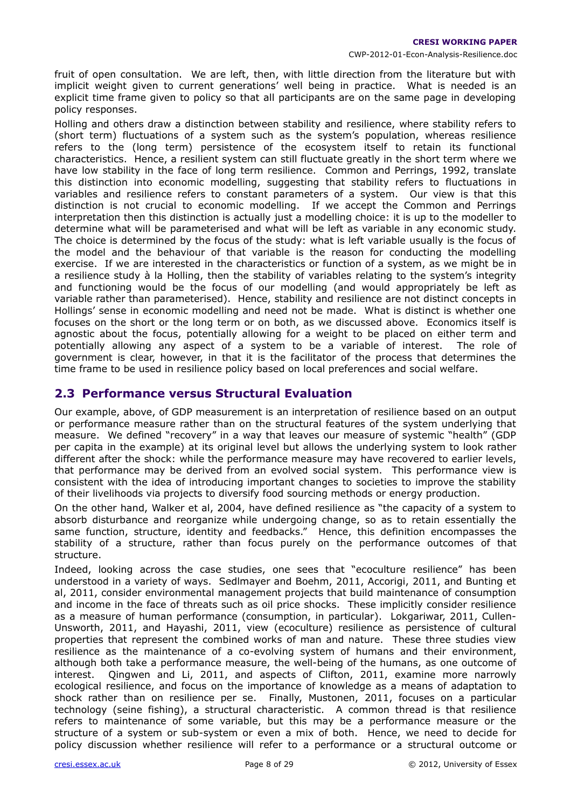fruit of open consultation. We are left, then, with little direction from the literature but with implicit weight given to current generations' well being in practice. What is needed is an explicit time frame given to policy so that all participants are on the same page in developing policy responses.

Holling and others draw a distinction between stability and resilience, where stability refers to (short term) fluctuations of a system such as the system's population, whereas resilience refers to the (long term) persistence of the ecosystem itself to retain its functional characteristics. Hence, a resilient system can still fluctuate greatly in the short term where we have low stability in the face of long term resilience. Common and Perrings, 1992, translate this distinction into economic modelling, suggesting that stability refers to fluctuations in variables and resilience refers to constant parameters of a system. Our view is that this distinction is not crucial to economic modelling. If we accept the Common and Perrings interpretation then this distinction is actually just a modelling choice: it is up to the modeller to determine what will be parameterised and what will be left as variable in any economic study. The choice is determined by the focus of the study: what is left variable usually is the focus of the model and the behaviour of that variable is the reason for conducting the modelling exercise. If we are interested in the characteristics or function of a system, as we might be in a resilience study à la Holling, then the stability of variables relating to the system's integrity and functioning would be the focus of our modelling (and would appropriately be left as variable rather than parameterised). Hence, stability and resilience are not distinct concepts in Hollings' sense in economic modelling and need not be made. What is distinct is whether one focuses on the short or the long term or on both, as we discussed above. Economics itself is agnostic about the focus, potentially allowing for a weight to be placed on either term and potentially allowing any aspect of a system to be a variable of interest. The role of government is clear, however, in that it is the facilitator of the process that determines the time frame to be used in resilience policy based on local preferences and social welfare.

### **2.3 Performance versus Structural Evaluation**

Our example, above, of GDP measurement is an interpretation of resilience based on an output or performance measure rather than on the structural features of the system underlying that measure. We defined "recovery" in a way that leaves our measure of systemic "health" (GDP per capita in the example) at its original level but allows the underlying system to look rather different after the shock: while the performance measure may have recovered to earlier levels, that performance may be derived from an evolved social system. This performance view is consistent with the idea of introducing important changes to societies to improve the stability of their livelihoods via projects to diversify food sourcing methods or energy production.

On the other hand, Walker et al, 2004, have defined resilience as "the capacity of a system to absorb disturbance and reorganize while undergoing change, so as to retain essentially the same function, structure, identity and feedbacks." Hence, this definition encompasses the stability of a structure, rather than focus purely on the performance outcomes of that structure.

Indeed, looking across the case studies, one sees that "ecoculture resilience" has been understood in a variety of ways. Sedlmayer and Boehm, 2011, Accorigi, 2011, and Bunting et al, 2011, consider environmental management projects that build maintenance of consumption and income in the face of threats such as oil price shocks. These implicitly consider resilience as a measure of human performance (consumption, in particular). Lokgariwar, 2011, Cullen-Unsworth, 2011, and Hayashi, 2011, view (ecoculture) resilience as persistence of cultural properties that represent the combined works of man and nature. These three studies view resilience as the maintenance of a co-evolving system of humans and their environment, although both take a performance measure, the well-being of the humans, as one outcome of interest. Qingwen and Li, 2011, and aspects of Clifton, 2011, examine more narrowly ecological resilience, and focus on the importance of knowledge as a means of adaptation to shock rather than on resilience per se. Finally, Mustonen, 2011, focuses on a particular technology (seine fishing), a structural characteristic. A common thread is that resilience refers to maintenance of some variable, but this may be a performance measure or the structure of a system or sub-system or even a mix of both. Hence, we need to decide for policy discussion whether resilience will refer to a performance or a structural outcome or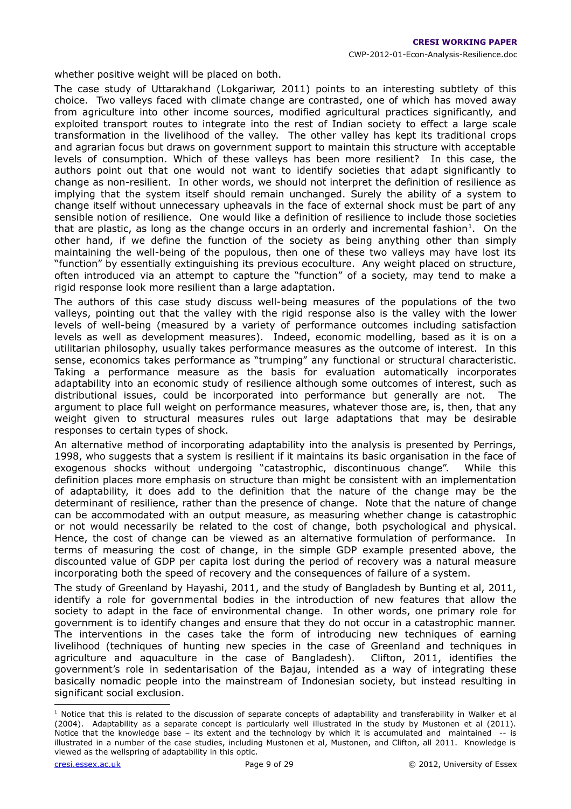whether positive weight will be placed on both.

The case study of Uttarakhand (Lokgariwar, 2011) points to an interesting subtlety of this choice. Two valleys faced with climate change are contrasted, one of which has moved away from agriculture into other income sources, modified agricultural practices significantly, and exploited transport routes to integrate into the rest of Indian society to effect a large scale transformation in the livelihood of the valley. The other valley has kept its traditional crops and agrarian focus but draws on government support to maintain this structure with acceptable levels of consumption. Which of these valleys has been more resilient? In this case, the authors point out that one would not want to identify societies that adapt significantly to change as non-resilient. In other words, we should not interpret the definition of resilience as implying that the system itself should remain unchanged. Surely the ability of a system to change itself without unnecessary upheavals in the face of external shock must be part of any sensible notion of resilience. One would like a definition of resilience to include those societies that are plastic, as long as the change occurs in an orderly and incremental fashion<sup>[1](#page-8-0)</sup>. On the other hand, if we define the function of the society as being anything other than simply maintaining the well-being of the populous, then one of these two valleys may have lost its "function" by essentially extinguishing its previous ecoculture. Any weight placed on structure, often introduced via an attempt to capture the "function" of a society, may tend to make a rigid response look more resilient than a large adaptation.

The authors of this case study discuss well-being measures of the populations of the two valleys, pointing out that the valley with the rigid response also is the valley with the lower levels of well-being (measured by a variety of performance outcomes including satisfaction levels as well as development measures). Indeed, economic modelling, based as it is on a utilitarian philosophy, usually takes performance measures as the outcome of interest. In this sense, economics takes performance as "trumping" any functional or structural characteristic. Taking a performance measure as the basis for evaluation automatically incorporates adaptability into an economic study of resilience although some outcomes of interest, such as distributional issues, could be incorporated into performance but generally are not. The argument to place full weight on performance measures, whatever those are, is, then, that any weight given to structural measures rules out large adaptations that may be desirable responses to certain types of shock.

An alternative method of incorporating adaptability into the analysis is presented by Perrings, 1998, who suggests that a system is resilient if it maintains its basic organisation in the face of exogenous shocks without undergoing "catastrophic, discontinuous change". While this definition places more emphasis on structure than might be consistent with an implementation of adaptability, it does add to the definition that the nature of the change may be the determinant of resilience, rather than the presence of change. Note that the nature of change can be accommodated with an output measure, as measuring whether change is catastrophic or not would necessarily be related to the cost of change, both psychological and physical. Hence, the cost of change can be viewed as an alternative formulation of performance. In terms of measuring the cost of change, in the simple GDP example presented above, the discounted value of GDP per capita lost during the period of recovery was a natural measure incorporating both the speed of recovery and the consequences of failure of a system.

The study of Greenland by Hayashi, 2011, and the study of Bangladesh by Bunting et al, 2011, identify a role for governmental bodies in the introduction of new features that allow the society to adapt in the face of environmental change. In other words, one primary role for government is to identify changes and ensure that they do not occur in a catastrophic manner. The interventions in the cases take the form of introducing new techniques of earning livelihood (techniques of hunting new species in the case of Greenland and techniques in agriculture and aguaculture in the case of Bangladesh). Clifton, 2011, identifies the government's role in sedentarisation of the Bajau, intended as a way of integrating these basically nomadic people into the mainstream of Indonesian society, but instead resulting in significant social exclusion.

<span id="page-8-0"></span><sup>&</sup>lt;sup>1</sup> Notice that this is related to the discussion of separate concepts of adaptability and transferability in Walker et al (2004). Adaptability as a separate concept is particularly well illustrated in the study by Mustonen et al (2011). Notice that the knowledge base – its extent and the technology by which it is accumulated and maintained -- is illustrated in a number of the case studies, including Mustonen et al, Mustonen, and Clifton, all 2011. Knowledge is viewed as the wellspring of adaptability in this optic.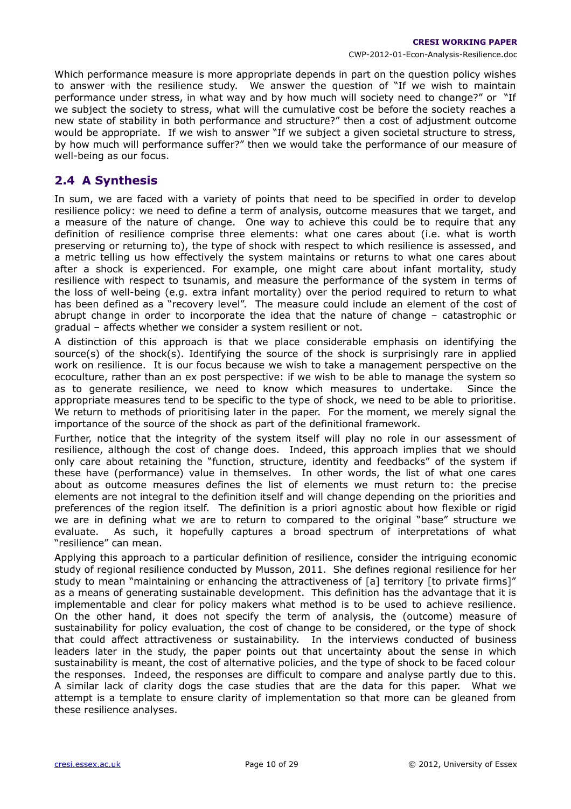Which performance measure is more appropriate depends in part on the question policy wishes to answer with the resilience study. We answer the question of "If we wish to maintain performance under stress, in what way and by how much will society need to change?" or "If we subject the society to stress, what will the cumulative cost be before the society reaches a new state of stability in both performance and structure?" then a cost of adjustment outcome would be appropriate. If we wish to answer "If we subject a given societal structure to stress, by how much will performance suffer?" then we would take the performance of our measure of well-being as our focus.

### **2.4 A Synthesis**

In sum, we are faced with a variety of points that need to be specified in order to develop resilience policy: we need to define a term of analysis, outcome measures that we target, and a measure of the nature of change. One way to achieve this could be to require that any definition of resilience comprise three elements: what one cares about (i.e. what is worth preserving or returning to), the type of shock with respect to which resilience is assessed, and a metric telling us how effectively the system maintains or returns to what one cares about after a shock is experienced. For example, one might care about infant mortality, study resilience with respect to tsunamis, and measure the performance of the system in terms of the loss of well-being (e.g. extra infant mortality) over the period required to return to what has been defined as a "recovery level". The measure could include an element of the cost of abrupt change in order to incorporate the idea that the nature of change – catastrophic or gradual – affects whether we consider a system resilient or not.

A distinction of this approach is that we place considerable emphasis on identifying the source(s) of the shock(s). Identifying the source of the shock is surprisingly rare in applied work on resilience. It is our focus because we wish to take a management perspective on the ecoculture, rather than an ex post perspective: if we wish to be able to manage the system so as to generate resilience, we need to know which measures to undertake. Since the appropriate measures tend to be specific to the type of shock, we need to be able to prioritise. We return to methods of prioritising later in the paper. For the moment, we merely signal the importance of the source of the shock as part of the definitional framework.

Further, notice that the integrity of the system itself will play no role in our assessment of resilience, although the cost of change does. Indeed, this approach implies that we should only care about retaining the "function, structure, identity and feedbacks" of the system if these have (performance) value in themselves. In other words, the list of what one cares about as outcome measures defines the list of elements we must return to: the precise elements are not integral to the definition itself and will change depending on the priorities and preferences of the region itself. The definition is a priori agnostic about how flexible or rigid we are in defining what we are to return to compared to the original "base" structure we evaluate. As such, it hopefully captures a broad spectrum of interpretations of what "resilience" can mean.

Applying this approach to a particular definition of resilience, consider the intriguing economic study of regional resilience conducted by Musson, 2011. She defines regional resilience for her study to mean "maintaining or enhancing the attractiveness of [a] territory [to private firms]" as a means of generating sustainable development. This definition has the advantage that it is implementable and clear for policy makers what method is to be used to achieve resilience. On the other hand, it does not specify the term of analysis, the (outcome) measure of sustainability for policy evaluation, the cost of change to be considered, or the type of shock that could affect attractiveness or sustainability. In the interviews conducted of business leaders later in the study, the paper points out that uncertainty about the sense in which sustainability is meant, the cost of alternative policies, and the type of shock to be faced colour the responses. Indeed, the responses are difficult to compare and analyse partly due to this. A similar lack of clarity dogs the case studies that are the data for this paper. What we attempt is a template to ensure clarity of implementation so that more can be gleaned from these resilience analyses.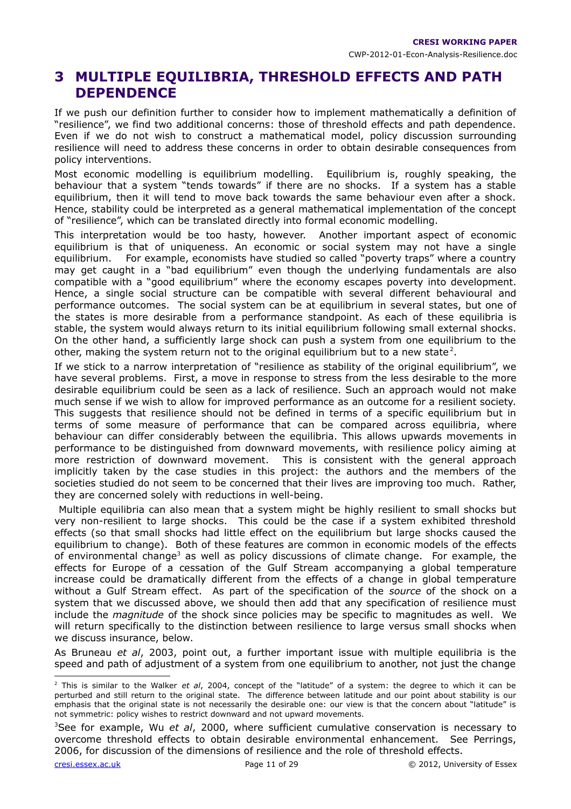# **3 MULTIPLE EQUILIBRIA, THRESHOLD EFFECTS AND PATH DEPENDENCE**

If we push our definition further to consider how to implement mathematically a definition of "resilience", we find two additional concerns: those of threshold effects and path dependence. Even if we do not wish to construct a mathematical model, policy discussion surrounding resilience will need to address these concerns in order to obtain desirable consequences from policy interventions.

Most economic modelling is equilibrium modelling. Equilibrium is, roughly speaking, the behaviour that a system "tends towards" if there are no shocks. If a system has a stable equilibrium, then it will tend to move back towards the same behaviour even after a shock. Hence, stability could be interpreted as a general mathematical implementation of the concept of "resilience", which can be translated directly into formal economic modelling.

This interpretation would be too hasty, however. Another important aspect of economic equilibrium is that of uniqueness. An economic or social system may not have a single equilibrium. For example, economists have studied so called "poverty traps" where a country may get caught in a "bad equilibrium" even though the underlying fundamentals are also compatible with a "good equilibrium" where the economy escapes poverty into development. Hence, a single social structure can be compatible with several different behavioural and performance outcomes. The social system can be at equilibrium in several states, but one of the states is more desirable from a performance standpoint. As each of these equilibria is stable, the system would always return to its initial equilibrium following small external shocks. On the other hand, a sufficiently large shock can push a system from one equilibrium to the other, making the system return not to the original equilibrium but to a new state<sup>[2](#page-10-0)</sup>.

If we stick to a narrow interpretation of "resilience as stability of the original equilibrium", we have several problems. First, a move in response to stress from the less desirable to the more desirable equilibrium could be seen as a lack of resilience. Such an approach would not make much sense if we wish to allow for improved performance as an outcome for a resilient society. This suggests that resilience should not be defined in terms of a specific equilibrium but in terms of some measure of performance that can be compared across equilibria, where behaviour can differ considerably between the equilibria. This allows upwards movements in performance to be distinguished from downward movements, with resilience policy aiming at more restriction of downward movement. This is consistent with the general approach implicitly taken by the case studies in this project: the authors and the members of the societies studied do not seem to be concerned that their lives are improving too much. Rather, they are concerned solely with reductions in well-being.

 Multiple equilibria can also mean that a system might be highly resilient to small shocks but very non-resilient to large shocks. This could be the case if a system exhibited threshold effects (so that small shocks had little effect on the equilibrium but large shocks caused the equilibrium to change). Both of these features are common in economic models of the effects of environmental change<sup>[3](#page-10-1)</sup> as well as policy discussions of climate change. For example, the effects for Europe of a cessation of the Gulf Stream accompanying a global temperature increase could be dramatically different from the effects of a change in global temperature without a Gulf Stream effect. As part of the specification of the *source* of the shock on a system that we discussed above, we should then add that any specification of resilience must include the *magnitude* of the shock since policies may be specific to magnitudes as well. We will return specifically to the distinction between resilience to large versus small shocks when we discuss insurance, below.

As Bruneau *et al*, 2003, point out, a further important issue with multiple equilibria is the speed and path of adjustment of a system from one equilibrium to another, not just the change

<span id="page-10-0"></span><sup>2</sup> This is similar to the Walker *et al*, 2004, concept of the "latitude" of a system: the degree to which it can be perturbed and still return to the original state. The difference between latitude and our point about stability is our emphasis that the original state is not necessarily the desirable one: our view is that the concern about "latitude" is not symmetric: policy wishes to restrict downward and not upward movements.

<span id="page-10-1"></span><sup>3</sup>See for example, Wu *et al*, 2000, where sufficient cumulative conservation is necessary to overcome threshold effects to obtain desirable environmental enhancement. See Perrings, 2006, for discussion of the dimensions of resilience and the role of threshold effects.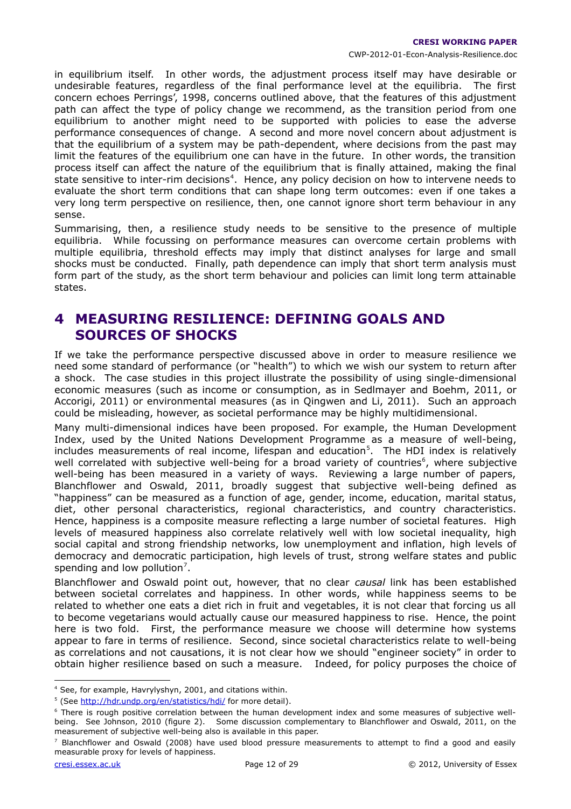in equilibrium itself. In other words, the adjustment process itself may have desirable or undesirable features, regardless of the final performance level at the equilibria. The first concern echoes Perrings', 1998, concerns outlined above, that the features of this adjustment path can affect the type of policy change we recommend, as the transition period from one equilibrium to another might need to be supported with policies to ease the adverse performance consequences of change. A second and more novel concern about adjustment is that the equilibrium of a system may be path-dependent, where decisions from the past may limit the features of the equilibrium one can have in the future. In other words, the transition process itself can affect the nature of the equilibrium that is finally attained, making the final state sensitive to inter-rim decisions<sup>[4](#page-11-0)</sup>. Hence, any policy decision on how to intervene needs to evaluate the short term conditions that can shape long term outcomes: even if one takes a very long term perspective on resilience, then, one cannot ignore short term behaviour in any sense.

Summarising, then, a resilience study needs to be sensitive to the presence of multiple equilibria. While focussing on performance measures can overcome certain problems with multiple equilibria, threshold effects may imply that distinct analyses for large and small shocks must be conducted. Finally, path dependence can imply that short term analysis must form part of the study, as the short term behaviour and policies can limit long term attainable states.

# **4 MEASURING RESILIENCE: DEFINING GOALS AND SOURCES OF SHOCKS**

If we take the performance perspective discussed above in order to measure resilience we need some standard of performance (or "health") to which we wish our system to return after a shock. The case studies in this project illustrate the possibility of using single-dimensional economic measures (such as income or consumption, as in Sedlmayer and Boehm, 2011, or Accorigi, 2011) or environmental measures (as in Qingwen and Li, 2011). Such an approach could be misleading, however, as societal performance may be highly multidimensional.

Many multi-dimensional indices have been proposed. For example, the Human Development Index, used by the United Nations Development Programme as a measure of well-being, includes measurements of real income, lifespan and education<sup>[5](#page-11-1)</sup>. The HDI index is relatively well correlated with subjective well-being for a broad variety of countries<sup>[6](#page-11-2)</sup>, where subjective well-being has been measured in a variety of ways. Reviewing a large number of papers, Blanchflower and Oswald, 2011, broadly suggest that subjective well-being defined as "happiness" can be measured as a function of age, gender, income, education, marital status, diet, other personal characteristics, regional characteristics, and country characteristics. Hence, happiness is a composite measure reflecting a large number of societal features. High levels of measured happiness also correlate relatively well with low societal inequality, high social capital and strong friendship networks, low unemployment and inflation, high levels of democracy and democratic participation, high levels of trust, strong welfare states and public spending and low pollution<sup>[7](#page-11-3)</sup>.

Blanchflower and Oswald point out, however, that no clear *causal* link has been established between societal correlates and happiness. In other words, while happiness seems to be related to whether one eats a diet rich in fruit and vegetables, it is not clear that forcing us all to become vegetarians would actually cause our measured happiness to rise. Hence, the point here is two fold. First, the performance measure we choose will determine how systems appear to fare in terms of resilience. Second, since societal characteristics relate to well-being as correlations and not causations, it is not clear how we should "engineer society" in order to obtain higher resilience based on such a measure. Indeed, for policy purposes the choice of

<span id="page-11-0"></span><sup>4</sup> See, for example, Havrylyshyn, 2001, and citations within.

<span id="page-11-1"></span><sup>&</sup>lt;sup>5</sup> (See<http://hdr.undp.org/en/statistics/hdi/>for more detail).

<span id="page-11-2"></span><sup>6</sup> There is rough positive correlation between the human development index and some measures of subjective wellbeing. See Johnson, 2010 (figure 2). Some discussion complementary to Blanchflower and Oswald, 2011, on the measurement of subjective well-being also is available in this paper.

<span id="page-11-3"></span><sup>7</sup> Blanchflower and Oswald (2008) have used blood pressure measurements to attempt to find a good and easily measurable proxy for levels of happiness.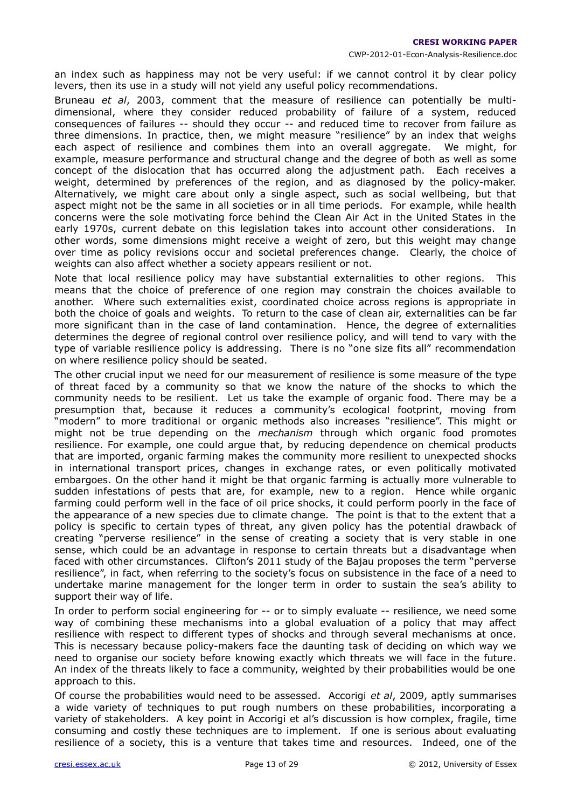an index such as happiness may not be very useful: if we cannot control it by clear policy levers, then its use in a study will not yield any useful policy recommendations.

Bruneau *et al*, 2003, comment that the measure of resilience can potentially be multidimensional, where they consider reduced probability of failure of a system, reduced consequences of failures -- should they occur -- and reduced time to recover from failure as three dimensions. In practice, then, we might measure "resilience" by an index that weighs each aspect of resilience and combines them into an overall aggregate. We might, for example, measure performance and structural change and the degree of both as well as some concept of the dislocation that has occurred along the adjustment path. Each receives a weight, determined by preferences of the region, and as diagnosed by the policy-maker. Alternatively, we might care about only a single aspect, such as social wellbeing, but that aspect might not be the same in all societies or in all time periods. For example, while health concerns were the sole motivating force behind the Clean Air Act in the United States in the early 1970s, current debate on this legislation takes into account other considerations. In other words, some dimensions might receive a weight of zero, but this weight may change over time as policy revisions occur and societal preferences change. Clearly, the choice of weights can also affect whether a society appears resilient or not.

Note that local resilience policy may have substantial externalities to other regions. This means that the choice of preference of one region may constrain the choices available to another. Where such externalities exist, coordinated choice across regions is appropriate in both the choice of goals and weights. To return to the case of clean air, externalities can be far more significant than in the case of land contamination. Hence, the degree of externalities determines the degree of regional control over resilience policy, and will tend to vary with the type of variable resilience policy is addressing. There is no "one size fits all" recommendation on where resilience policy should be seated.

The other crucial input we need for our measurement of resilience is some measure of the type of threat faced by a community so that we know the nature of the shocks to which the community needs to be resilient. Let us take the example of organic food. There may be a presumption that, because it reduces a community's ecological footprint, moving from "modern" to more traditional or organic methods also increases "resilience". This might or might not be true depending on the *mechanism* through which organic food promotes resilience. For example, one could argue that, by reducing dependence on chemical products that are imported, organic farming makes the community more resilient to unexpected shocks in international transport prices, changes in exchange rates, or even politically motivated embargoes. On the other hand it might be that organic farming is actually more vulnerable to sudden infestations of pests that are, for example, new to a region. Hence while organic farming could perform well in the face of oil price shocks, it could perform poorly in the face of the appearance of a new species due to climate change. The point is that to the extent that a policy is specific to certain types of threat, any given policy has the potential drawback of creating "perverse resilience" in the sense of creating a society that is very stable in one sense, which could be an advantage in response to certain threats but a disadvantage when faced with other circumstances. Clifton's 2011 study of the Bajau proposes the term "perverse resilience", in fact, when referring to the society's focus on subsistence in the face of a need to undertake marine management for the longer term in order to sustain the sea's ability to support their way of life.

In order to perform social engineering for -- or to simply evaluate -- resilience, we need some way of combining these mechanisms into a global evaluation of a policy that may affect resilience with respect to different types of shocks and through several mechanisms at once. This is necessary because policy-makers face the daunting task of deciding on which way we need to organise our society before knowing exactly which threats we will face in the future. An index of the threats likely to face a community, weighted by their probabilities would be one approach to this.

Of course the probabilities would need to be assessed. Accorigi *et al*, 2009, aptly summarises a wide variety of techniques to put rough numbers on these probabilities, incorporating a variety of stakeholders. A key point in Accorigi et al's discussion is how complex, fragile, time consuming and costly these techniques are to implement. If one is serious about evaluating resilience of a society, this is a venture that takes time and resources. Indeed, one of the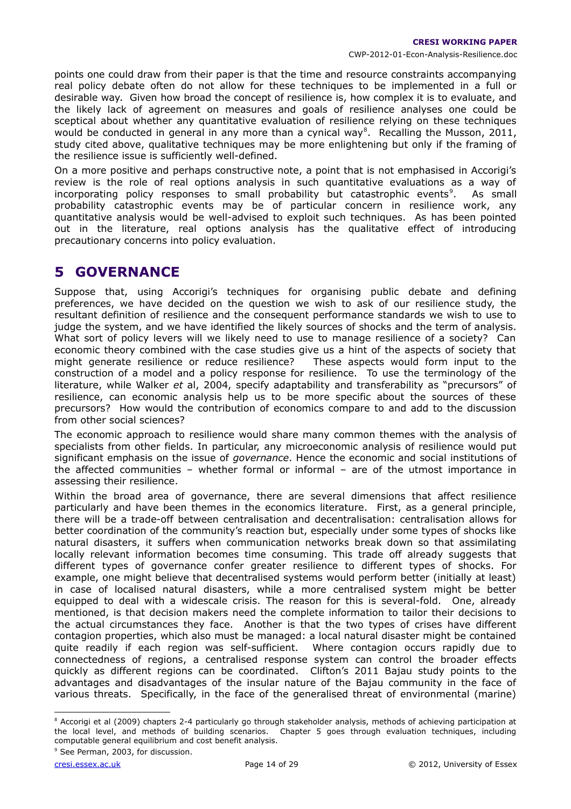points one could draw from their paper is that the time and resource constraints accompanying real policy debate often do not allow for these techniques to be implemented in a full or desirable way. Given how broad the concept of resilience is, how complex it is to evaluate, and the likely lack of agreement on measures and goals of resilience analyses one could be sceptical about whether any quantitative evaluation of resilience relying on these techniques would be conducted in general in any more than a cynical way<sup>[8](#page-13-0)</sup>. Recalling the Musson, 2011, study cited above, qualitative techniques may be more enlightening but only if the framing of the resilience issue is sufficiently well-defined.

On a more positive and perhaps constructive note, a point that is not emphasised in Accorigi's review is the role of real options analysis in such quantitative evaluations as a way of incorporating policy responses to small probability but catastrophic events<sup>[9](#page-13-1)</sup>. . As small probability catastrophic events may be of particular concern in resilience work, any quantitative analysis would be well-advised to exploit such techniques. As has been pointed out in the literature, real options analysis has the qualitative effect of introducing precautionary concerns into policy evaluation.

# **5 GOVERNANCE**

Suppose that, using Accorigi's techniques for organising public debate and defining preferences, we have decided on the question we wish to ask of our resilience study, the resultant definition of resilience and the consequent performance standards we wish to use to judge the system, and we have identified the likely sources of shocks and the term of analysis. What sort of policy levers will we likely need to use to manage resilience of a society? Can economic theory combined with the case studies give us a hint of the aspects of society that might generate resilience or reduce resilience? These aspects would form input to the construction of a model and a policy response for resilience. To use the terminology of the literature, while Walker *et* al, 2004, specify adaptability and transferability as "precursors" of resilience, can economic analysis help us to be more specific about the sources of these precursors? How would the contribution of economics compare to and add to the discussion from other social sciences?

The economic approach to resilience would share many common themes with the analysis of specialists from other fields. In particular, any microeconomic analysis of resilience would put significant emphasis on the issue of *governance*. Hence the economic and social institutions of the affected communities – whether formal or informal – are of the utmost importance in assessing their resilience.

Within the broad area of governance, there are several dimensions that affect resilience particularly and have been themes in the economics literature. First, as a general principle, there will be a trade-off between centralisation and decentralisation: centralisation allows for better coordination of the community's reaction but, especially under some types of shocks like natural disasters, it suffers when communication networks break down so that assimilating locally relevant information becomes time consuming. This trade off already suggests that different types of governance confer greater resilience to different types of shocks. For example, one might believe that decentralised systems would perform better (initially at least) in case of localised natural disasters, while a more centralised system might be better equipped to deal with a widescale crisis. The reason for this is several-fold. One, already mentioned, is that decision makers need the complete information to tailor their decisions to the actual circumstances they face. Another is that the two types of crises have different contagion properties, which also must be managed: a local natural disaster might be contained quite readily if each region was self-sufficient. Where contagion occurs rapidly due to connectedness of regions, a centralised response system can control the broader effects quickly as different regions can be coordinated. Clifton's 2011 Bajau study points to the advantages and disadvantages of the insular nature of the Bajau community in the face of various threats. Specifically, in the face of the generalised threat of environmental (marine)

<span id="page-13-1"></span><span id="page-13-0"></span><sup>&</sup>lt;sup>8</sup> Accorigi et al (2009) chapters 2-4 particularly go through stakeholder analysis, methods of achieving participation at the local level, and methods of building scenarios. Chapter 5 goes through evaluation techniques, including computable general equilibrium and cost benefit analysis.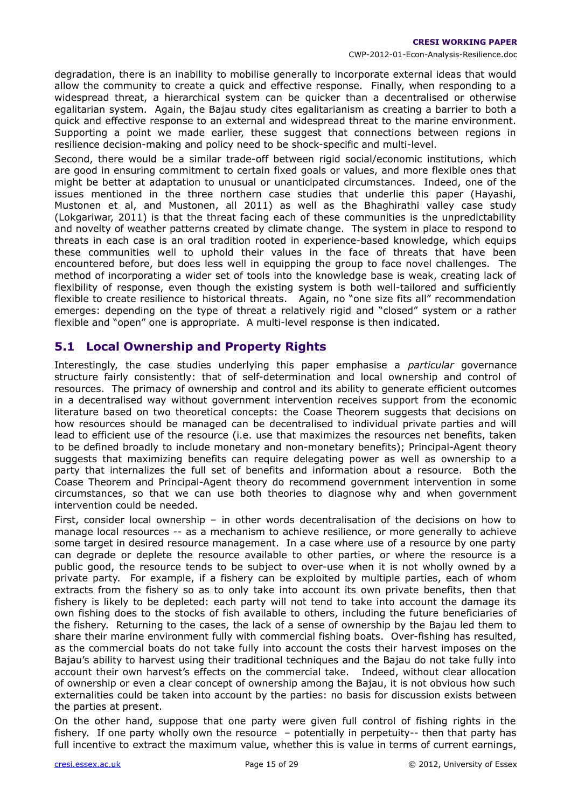degradation, there is an inability to mobilise generally to incorporate external ideas that would allow the community to create a quick and effective response. Finally, when responding to a widespread threat, a hierarchical system can be quicker than a decentralised or otherwise egalitarian system. Again, the Bajau study cites egalitarianism as creating a barrier to both a quick and effective response to an external and widespread threat to the marine environment. Supporting a point we made earlier, these suggest that connections between regions in resilience decision-making and policy need to be shock-specific and multi-level.

Second, there would be a similar trade-off between rigid social/economic institutions, which are good in ensuring commitment to certain fixed goals or values, and more flexible ones that might be better at adaptation to unusual or unanticipated circumstances. Indeed, one of the issues mentioned in the three northern case studies that underlie this paper (Hayashi, Mustonen et al, and Mustonen, all 2011) as well as the Bhaghirathi valley case study (Lokgariwar, 2011) is that the threat facing each of these communities is the unpredictability and novelty of weather patterns created by climate change. The system in place to respond to threats in each case is an oral tradition rooted in experience-based knowledge, which equips these communities well to uphold their values in the face of threats that have been encountered before, but does less well in equipping the group to face novel challenges. The method of incorporating a wider set of tools into the knowledge base is weak, creating lack of flexibility of response, even though the existing system is both well-tailored and sufficiently flexible to create resilience to historical threats. Again, no "one size fits all" recommendation emerges: depending on the type of threat a relatively rigid and "closed" system or a rather flexible and "open" one is appropriate. A multi-level response is then indicated.

### **5.1 Local Ownership and Property Rights**

Interestingly, the case studies underlying this paper emphasise a *particular* governance structure fairly consistently: that of self-determination and local ownership and control of resources. The primacy of ownership and control and its ability to generate efficient outcomes in a decentralised way without government intervention receives support from the economic literature based on two theoretical concepts: the Coase Theorem suggests that decisions on how resources should be managed can be decentralised to individual private parties and will lead to efficient use of the resource (i.e. use that maximizes the resources net benefits, taken to be defined broadly to include monetary and non-monetary benefits); Principal-Agent theory suggests that maximizing benefits can require delegating power as well as ownership to a party that internalizes the full set of benefits and information about a resource. Both the Coase Theorem and Principal-Agent theory do recommend government intervention in some circumstances, so that we can use both theories to diagnose why and when government intervention could be needed.

First, consider local ownership – in other words decentralisation of the decisions on how to manage local resources -- as a mechanism to achieve resilience, or more generally to achieve some target in desired resource management. In a case where use of a resource by one party can degrade or deplete the resource available to other parties, or where the resource is a public good, the resource tends to be subject to over-use when it is not wholly owned by a private party. For example, if a fishery can be exploited by multiple parties, each of whom extracts from the fishery so as to only take into account its own private benefits, then that fishery is likely to be depleted: each party will not tend to take into account the damage its own fishing does to the stocks of fish available to others, including the future beneficiaries of the fishery. Returning to the cases, the lack of a sense of ownership by the Bajau led them to share their marine environment fully with commercial fishing boats. Over-fishing has resulted, as the commercial boats do not take fully into account the costs their harvest imposes on the Bajau's ability to harvest using their traditional techniques and the Bajau do not take fully into account their own harvest's effects on the commercial take. Indeed, without clear allocation of ownership or even a clear concept of ownership among the Bajau, it is not obvious how such externalities could be taken into account by the parties: no basis for discussion exists between the parties at present.

On the other hand, suppose that one party were given full control of fishing rights in the fishery. If one party wholly own the resource – potentially in perpetuity-- then that party has full incentive to extract the maximum value, whether this is value in terms of current earnings,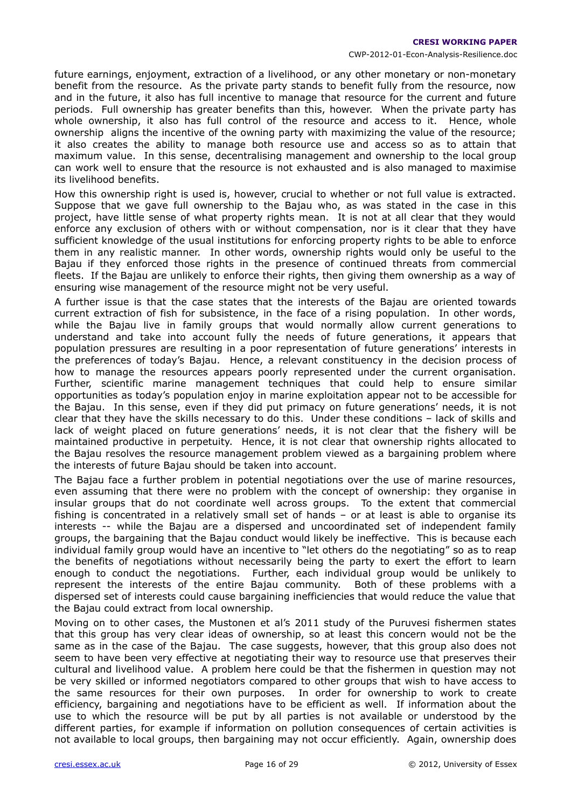future earnings, enjoyment, extraction of a livelihood, or any other monetary or non-monetary benefit from the resource. As the private party stands to benefit fully from the resource, now and in the future, it also has full incentive to manage that resource for the current and future periods. Full ownership has greater benefits than this, however. When the private party has whole ownership, it also has full control of the resource and access to it. Hence, whole ownership aligns the incentive of the owning party with maximizing the value of the resource; it also creates the ability to manage both resource use and access so as to attain that maximum value. In this sense, decentralising management and ownership to the local group can work well to ensure that the resource is not exhausted and is also managed to maximise its livelihood benefits.

How this ownership right is used is, however, crucial to whether or not full value is extracted. Suppose that we gave full ownership to the Bajau who, as was stated in the case in this project, have little sense of what property rights mean. It is not at all clear that they would enforce any exclusion of others with or without compensation, nor is it clear that they have sufficient knowledge of the usual institutions for enforcing property rights to be able to enforce them in any realistic manner. In other words, ownership rights would only be useful to the Bajau if they enforced those rights in the presence of continued threats from commercial fleets. If the Bajau are unlikely to enforce their rights, then giving them ownership as a way of ensuring wise management of the resource might not be very useful.

A further issue is that the case states that the interests of the Bajau are oriented towards current extraction of fish for subsistence, in the face of a rising population. In other words, while the Bajau live in family groups that would normally allow current generations to understand and take into account fully the needs of future generations, it appears that population pressures are resulting in a poor representation of future generations' interests in the preferences of today's Bajau. Hence, a relevant constituency in the decision process of how to manage the resources appears poorly represented under the current organisation. Further, scientific marine management techniques that could help to ensure similar opportunities as today's population enjoy in marine exploitation appear not to be accessible for the Bajau. In this sense, even if they did put primacy on future generations' needs, it is not clear that they have the skills necessary to do this. Under these conditions – lack of skills and lack of weight placed on future generations' needs, it is not clear that the fishery will be maintained productive in perpetuity. Hence, it is not clear that ownership rights allocated to the Bajau resolves the resource management problem viewed as a bargaining problem where the interests of future Bajau should be taken into account.

The Bajau face a further problem in potential negotiations over the use of marine resources, even assuming that there were no problem with the concept of ownership: they organise in insular groups that do not coordinate well across groups. To the extent that commercial fishing is concentrated in a relatively small set of hands – or at least is able to organise its interests -- while the Bajau are a dispersed and uncoordinated set of independent family groups, the bargaining that the Bajau conduct would likely be ineffective. This is because each individual family group would have an incentive to "let others do the negotiating" so as to reap the benefits of negotiations without necessarily being the party to exert the effort to learn enough to conduct the negotiations. Further, each individual group would be unlikely to represent the interests of the entire Bajau community. Both of these problems with a dispersed set of interests could cause bargaining inefficiencies that would reduce the value that the Bajau could extract from local ownership.

Moving on to other cases, the Mustonen et al's 2011 study of the Puruvesi fishermen states that this group has very clear ideas of ownership, so at least this concern would not be the same as in the case of the Bajau. The case suggests, however, that this group also does not seem to have been very effective at negotiating their way to resource use that preserves their cultural and livelihood value. A problem here could be that the fishermen in question may not be very skilled or informed negotiators compared to other groups that wish to have access to the same resources for their own purposes. In order for ownership to work to create efficiency, bargaining and negotiations have to be efficient as well. If information about the use to which the resource will be put by all parties is not available or understood by the different parties, for example if information on pollution consequences of certain activities is not available to local groups, then bargaining may not occur efficiently. Again, ownership does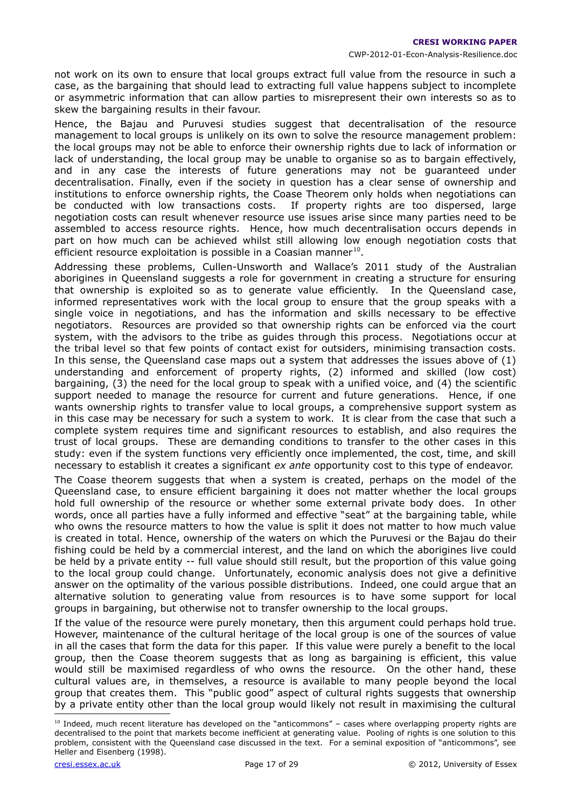not work on its own to ensure that local groups extract full value from the resource in such a case, as the bargaining that should lead to extracting full value happens subject to incomplete or asymmetric information that can allow parties to misrepresent their own interests so as to skew the bargaining results in their favour.

Hence, the Bajau and Puruvesi studies suggest that decentralisation of the resource management to local groups is unlikely on its own to solve the resource management problem: the local groups may not be able to enforce their ownership rights due to lack of information or lack of understanding, the local group may be unable to organise so as to bargain effectively, and in any case the interests of future generations may not be guaranteed under decentralisation. Finally, even if the society in question has a clear sense of ownership and institutions to enforce ownership rights, the Coase Theorem only holds when negotiations can be conducted with low transactions costs. If property rights are too dispersed, large negotiation costs can result whenever resource use issues arise since many parties need to be assembled to access resource rights. Hence, how much decentralisation occurs depends in part on how much can be achieved whilst still allowing low enough negotiation costs that efficient resource exploitation is possible in a Coasian manner<sup>[10](#page-16-0)</sup>.

Addressing these problems, Cullen-Unsworth and Wallace's 2011 study of the Australian aborigines in Queensland suggests a role for government in creating a structure for ensuring that ownership is exploited so as to generate value efficiently. In the Queensland case, informed representatives work with the local group to ensure that the group speaks with a single voice in negotiations, and has the information and skills necessary to be effective negotiators. Resources are provided so that ownership rights can be enforced via the court system, with the advisors to the tribe as guides through this process. Negotiations occur at the tribal level so that few points of contact exist for outsiders, minimising transaction costs. In this sense, the Queensland case maps out a system that addresses the issues above of (1) understanding and enforcement of property rights, (2) informed and skilled (low cost) bargaining, (3) the need for the local group to speak with a unified voice, and (4) the scientific support needed to manage the resource for current and future generations. Hence, if one wants ownership rights to transfer value to local groups, a comprehensive support system as in this case may be necessary for such a system to work. It is clear from the case that such a complete system requires time and significant resources to establish, and also requires the trust of local groups. These are demanding conditions to transfer to the other cases in this study: even if the system functions very efficiently once implemented, the cost, time, and skill necessary to establish it creates a significant *ex ante* opportunity cost to this type of endeavor.

The Coase theorem suggests that when a system is created, perhaps on the model of the Queensland case, to ensure efficient bargaining it does not matter whether the local groups hold full ownership of the resource or whether some external private body does. In other words, once all parties have a fully informed and effective "seat" at the bargaining table, while who owns the resource matters to how the value is split it does not matter to how much value is created in total. Hence, ownership of the waters on which the Puruvesi or the Bajau do their fishing could be held by a commercial interest, and the land on which the aborigines live could be held by a private entity -- full value should still result, but the proportion of this value going to the local group could change. Unfortunately, economic analysis does not give a definitive answer on the optimality of the various possible distributions. Indeed, one could argue that an alternative solution to generating value from resources is to have some support for local groups in bargaining, but otherwise not to transfer ownership to the local groups.

If the value of the resource were purely monetary, then this argument could perhaps hold true. However, maintenance of the cultural heritage of the local group is one of the sources of value in all the cases that form the data for this paper. If this value were purely a benefit to the local group, then the Coase theorem suggests that as long as bargaining is efficient, this value would still be maximised regardless of who owns the resource. On the other hand, these cultural values are, in themselves, a resource is available to many people beyond the local group that creates them. This "public good" aspect of cultural rights suggests that ownership by a private entity other than the local group would likely not result in maximising the cultural

<span id="page-16-0"></span><sup>&</sup>lt;sup>10</sup> Indeed, much recent literature has developed on the "anticommons" – cases where overlapping property rights are decentralised to the point that markets become inefficient at generating value. Pooling of rights is one solution to this problem, consistent with the Queensland case discussed in the text. For a seminal exposition of "anticommons", see Heller and Eisenberg (1998).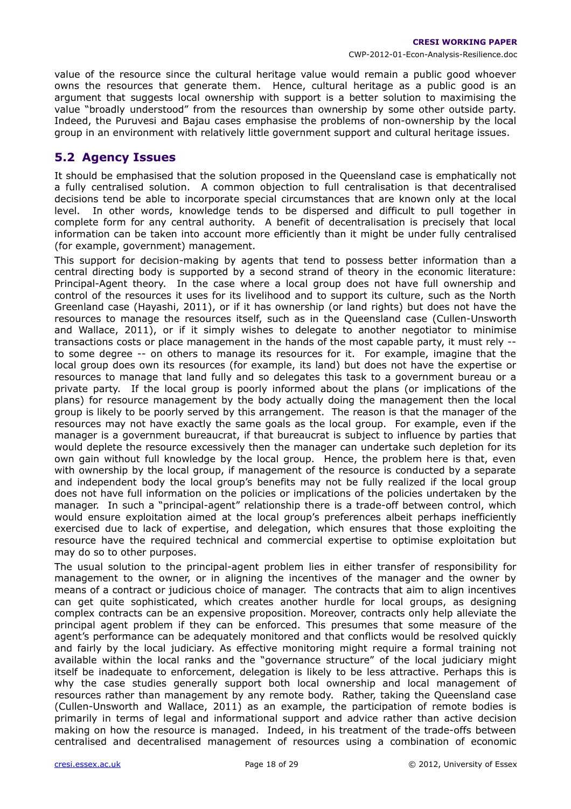value of the resource since the cultural heritage value would remain a public good whoever owns the resources that generate them. Hence, cultural heritage as a public good is an argument that suggests local ownership with support is a better solution to maximising the value "broadly understood" from the resources than ownership by some other outside party. Indeed, the Puruvesi and Bajau cases emphasise the problems of non-ownership by the local group in an environment with relatively little government support and cultural heritage issues.

### **5.2 Agency Issues**

It should be emphasised that the solution proposed in the Queensland case is emphatically not a fully centralised solution. A common objection to full centralisation is that decentralised decisions tend be able to incorporate special circumstances that are known only at the local level. In other words, knowledge tends to be dispersed and difficult to pull together in complete form for any central authority. A benefit of decentralisation is precisely that local information can be taken into account more efficiently than it might be under fully centralised (for example, government) management.

This support for decision-making by agents that tend to possess better information than a central directing body is supported by a second strand of theory in the economic literature: Principal-Agent theory. In the case where a local group does not have full ownership and control of the resources it uses for its livelihood and to support its culture, such as the North Greenland case (Hayashi, 2011), or if it has ownership (or land rights) but does not have the resources to manage the resources itself, such as in the Queensland case (Cullen-Unsworth and Wallace, 2011), or if it simply wishes to delegate to another negotiator to minimise transactions costs or place management in the hands of the most capable party, it must rely - to some degree -- on others to manage its resources for it. For example, imagine that the local group does own its resources (for example, its land) but does not have the expertise or resources to manage that land fully and so delegates this task to a government bureau or a private party. If the local group is poorly informed about the plans (or implications of the plans) for resource management by the body actually doing the management then the local group is likely to be poorly served by this arrangement. The reason is that the manager of the resources may not have exactly the same goals as the local group. For example, even if the manager is a government bureaucrat, if that bureaucrat is subject to influence by parties that would deplete the resource excessively then the manager can undertake such depletion for its own gain without full knowledge by the local group. Hence, the problem here is that, even with ownership by the local group, if management of the resource is conducted by a separate and independent body the local group's benefits may not be fully realized if the local group does not have full information on the policies or implications of the policies undertaken by the manager. In such a "principal-agent" relationship there is a trade-off between control, which would ensure exploitation aimed at the local group's preferences albeit perhaps inefficiently exercised due to lack of expertise, and delegation, which ensures that those exploiting the resource have the required technical and commercial expertise to optimise exploitation but may do so to other purposes.

The usual solution to the principal-agent problem lies in either transfer of responsibility for management to the owner, or in aligning the incentives of the manager and the owner by means of a contract or judicious choice of manager. The contracts that aim to align incentives can get quite sophisticated, which creates another hurdle for local groups, as designing complex contracts can be an expensive proposition. Moreover, contracts only help alleviate the principal agent problem if they can be enforced. This presumes that some measure of the agent's performance can be adequately monitored and that conflicts would be resolved quickly and fairly by the local judiciary. As effective monitoring might require a formal training not available within the local ranks and the "governance structure" of the local judiciary might itself be inadequate to enforcement, delegation is likely to be less attractive. Perhaps this is why the case studies generally support both local ownership and local management of resources rather than management by any remote body. Rather, taking the Queensland case (Cullen-Unsworth and Wallace, 2011) as an example, the participation of remote bodies is primarily in terms of legal and informational support and advice rather than active decision making on how the resource is managed. Indeed, in his treatment of the trade-offs between centralised and decentralised management of resources using a combination of economic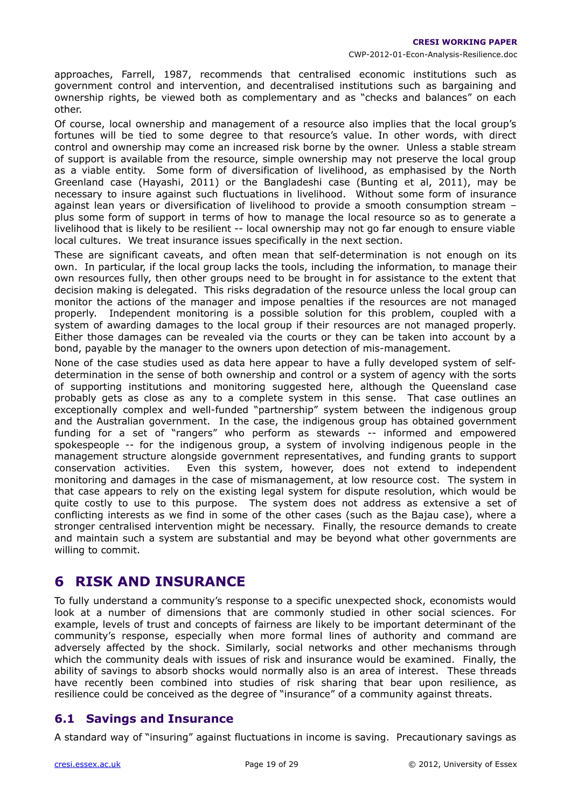approaches, Farrell, 1987, recommends that centralised economic institutions such as government control and intervention, and decentralised institutions such as bargaining and ownership rights, be viewed both as complementary and as "checks and balances" on each other.

Of course, local ownership and management of a resource also implies that the local group's fortunes will be tied to some degree to that resource's value. In other words, with direct control and ownership may come an increased risk borne by the owner. Unless a stable stream of support is available from the resource, simple ownership may not preserve the local group as a viable entity. Some form of diversification of livelihood, as emphasised by the North Greenland case (Hayashi, 2011) or the Bangladeshi case (Bunting et al, 2011), may be necessary to insure against such fluctuations in livelihood. Without some form of insurance against lean years or diversification of livelihood to provide a smooth consumption stream – plus some form of support in terms of how to manage the local resource so as to generate a livelihood that is likely to be resilient -- local ownership may not go far enough to ensure viable local cultures. We treat insurance issues specifically in the next section.

These are significant caveats, and often mean that self-determination is not enough on its own. In particular, if the local group lacks the tools, including the information, to manage their own resources fully, then other groups need to be brought in for assistance to the extent that decision making is delegated. This risks degradation of the resource unless the local group can monitor the actions of the manager and impose penalties if the resources are not managed properly. Independent monitoring is a possible solution for this problem, coupled with a system of awarding damages to the local group if their resources are not managed properly. Either those damages can be revealed via the courts or they can be taken into account by a bond, payable by the manager to the owners upon detection of mis-management.

None of the case studies used as data here appear to have a fully developed system of selfdetermination in the sense of both ownership and control or a system of agency with the sorts of supporting institutions and monitoring suggested here, although the Queensland case probably gets as close as any to a complete system in this sense. That case outlines an exceptionally complex and well-funded "partnership" system between the indigenous group and the Australian government. In the case, the indigenous group has obtained government funding for a set of "rangers" who perform as stewards -- informed and empowered spokespeople -- for the indigenous group, a system of involving indigenous people in the management structure alongside government representatives, and funding grants to support conservation activities. Even this system, however, does not extend to independent monitoring and damages in the case of mismanagement, at low resource cost. The system in that case appears to rely on the existing legal system for dispute resolution, which would be quite costly to use to this purpose. The system does not address as extensive a set of conflicting interests as we find in some of the other cases (such as the Bajau case), where a stronger centralised intervention might be necessary. Finally, the resource demands to create and maintain such a system are substantial and may be beyond what other governments are willing to commit.

# **6 RISK AND INSURANCE**

To fully understand a community's response to a specific unexpected shock, economists would look at a number of dimensions that are commonly studied in other social sciences. For example, levels of trust and concepts of fairness are likely to be important determinant of the community's response, especially when more formal lines of authority and command are adversely affected by the shock. Similarly, social networks and other mechanisms through which the community deals with issues of risk and insurance would be examined. Finally, the ability of savings to absorb shocks would normally also is an area of interest. These threads have recently been combined into studies of risk sharing that bear upon resilience, as resilience could be conceived as the degree of "insurance" of a community against threats.

# **6.1 Savings and Insurance**

A standard way of "insuring" against fluctuations in income is saving. Precautionary savings as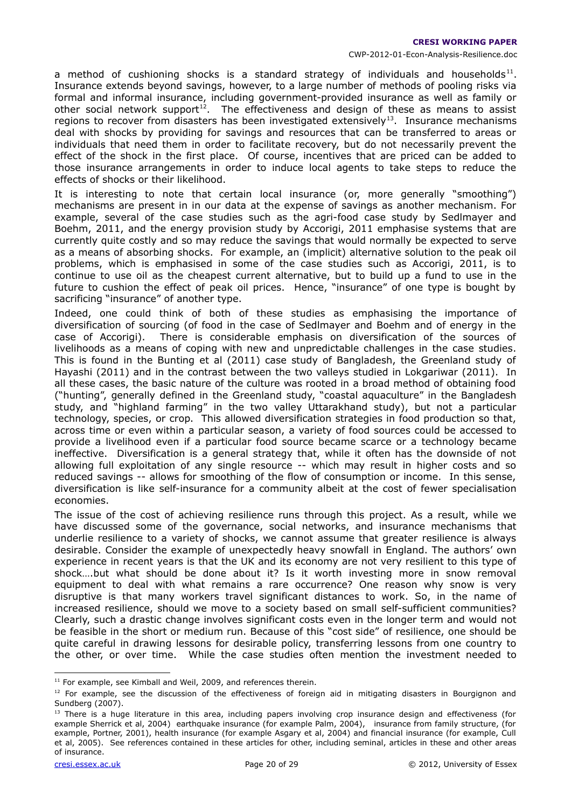a method of cushioning shocks is a standard strategy of individuals and households $^{11}$  $^{11}$  $^{11}$ . Insurance extends beyond savings, however, to a large number of methods of pooling risks via formal and informal insurance, including government-provided insurance as well as family or other social network support<sup>[12](#page-19-1)</sup>. The effectiveness and design of these as means to assist regions to recover from disasters has been investigated extensively<sup>[13](#page-19-2)</sup>. Insurance mechanisms deal with shocks by providing for savings and resources that can be transferred to areas or individuals that need them in order to facilitate recovery, but do not necessarily prevent the effect of the shock in the first place. Of course, incentives that are priced can be added to those insurance arrangements in order to induce local agents to take steps to reduce the effects of shocks or their likelihood.

It is interesting to note that certain local insurance (or, more generally "smoothing") mechanisms are present in in our data at the expense of savings as another mechanism. For example, several of the case studies such as the agri-food case study by Sedlmayer and Boehm, 2011, and the energy provision study by Accorigi, 2011 emphasise systems that are currently quite costly and so may reduce the savings that would normally be expected to serve as a means of absorbing shocks. For example, an (implicit) alternative solution to the peak oil problems, which is emphasised in some of the case studies such as Accorigi, 2011, is to continue to use oil as the cheapest current alternative, but to build up a fund to use in the future to cushion the effect of peak oil prices. Hence, "insurance" of one type is bought by sacrificing "insurance" of another type.

Indeed, one could think of both of these studies as emphasising the importance of diversification of sourcing (of food in the case of Sedlmayer and Boehm and of energy in the case of Accorigi). There is considerable emphasis on diversification of the sources of livelihoods as a means of coping with new and unpredictable challenges in the case studies. This is found in the Bunting et al (2011) case study of Bangladesh, the Greenland study of Hayashi (2011) and in the contrast between the two valleys studied in Lokgariwar (2011). In all these cases, the basic nature of the culture was rooted in a broad method of obtaining food ("hunting", generally defined in the Greenland study, "coastal aquaculture" in the Bangladesh study, and "highland farming" in the two valley Uttarakhand study), but not a particular technology, species, or crop. This allowed diversification strategies in food production so that, across time or even within a particular season, a variety of food sources could be accessed to provide a livelihood even if a particular food source became scarce or a technology became ineffective. Diversification is a general strategy that, while it often has the downside of not allowing full exploitation of any single resource -- which may result in higher costs and so reduced savings -- allows for smoothing of the flow of consumption or income. In this sense, diversification is like self-insurance for a community albeit at the cost of fewer specialisation economies.

The issue of the cost of achieving resilience runs through this project. As a result, while we have discussed some of the governance, social networks, and insurance mechanisms that underlie resilience to a variety of shocks, we cannot assume that greater resilience is always desirable. Consider the example of unexpectedly heavy snowfall in England. The authors' own experience in recent years is that the UK and its economy are not very resilient to this type of shock….but what should be done about it? Is it worth investing more in snow removal equipment to deal with what remains a rare occurrence? One reason why snow is very disruptive is that many workers travel significant distances to work. So, in the name of increased resilience, should we move to a society based on small self-sufficient communities? Clearly, such a drastic change involves significant costs even in the longer term and would not be feasible in the short or medium run. Because of this "cost side" of resilience, one should be quite careful in drawing lessons for desirable policy, transferring lessons from one country to the other, or over time. While the case studies often mention the investment needed to

<span id="page-19-0"></span> $11$  For example, see Kimball and Weil, 2009, and references therein.

<span id="page-19-1"></span> $12$  For example, see the discussion of the effectiveness of foreign aid in mitigating disasters in Bourgignon and Sundberg (2007).

<span id="page-19-2"></span><sup>&</sup>lt;sup>13</sup> There is a huge literature in this area, including papers involving crop insurance design and effectiveness (for example Sherrick et al, 2004) earthquake insurance (for example Palm, 2004), insurance from family structure, (for example, Portner, 2001), health insurance (for example Asgary et al, 2004) and financial insurance (for example, Cull et al, 2005). See references contained in these articles for other, including seminal, articles in these and other areas of insurance.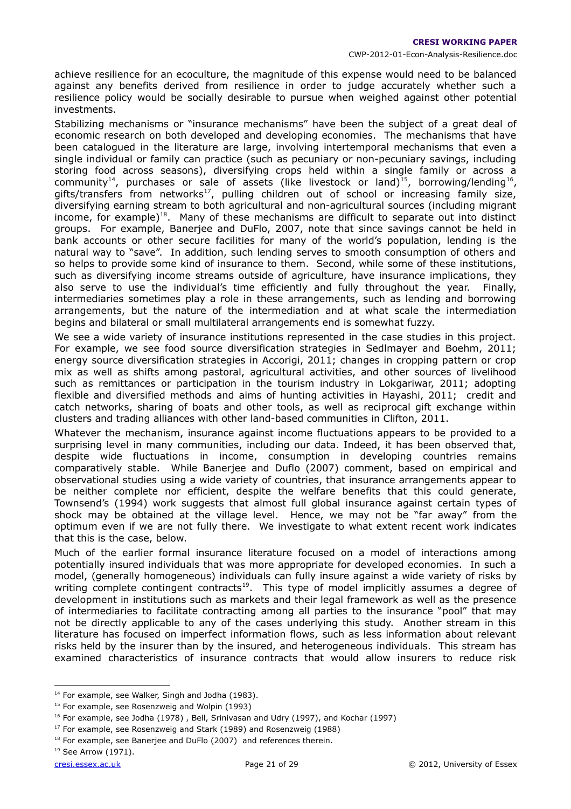achieve resilience for an ecoculture, the magnitude of this expense would need to be balanced against any benefits derived from resilience in order to judge accurately whether such a resilience policy would be socially desirable to pursue when weighed against other potential investments.

Stabilizing mechanisms or "insurance mechanisms" have been the subject of a great deal of economic research on both developed and developing economies. The mechanisms that have been catalogued in the literature are large, involving intertemporal mechanisms that even a single individual or family can practice (such as pecuniary or non-pecuniary savings, including storing food across seasons), diversifying crops held within a single family or across a community<sup>[14](#page-20-0)</sup>, purchases or sale of assets (like livestock or land)<sup>[15](#page-20-1)</sup>, borrowing/lending<sup>[16](#page-20-2)</sup>, gifts/transfers from networks<sup>[17](#page-20-3)</sup>, pulling children out of school or increasing family size, diversifying earning stream to both agricultural and non-agricultural sources (including migrant income, for example)<sup>[18](#page-20-4)</sup>. Many of these mechanisms are difficult to separate out into distinct groups. For example, Banerjee and DuFlo, 2007, note that since savings cannot be held in bank accounts or other secure facilities for many of the world's population, lending is the natural way to "save". In addition, such lending serves to smooth consumption of others and so helps to provide some kind of insurance to them. Second, while some of these institutions, such as diversifying income streams outside of agriculture, have insurance implications, they also serve to use the individual's time efficiently and fully throughout the year. Finally, intermediaries sometimes play a role in these arrangements, such as lending and borrowing arrangements, but the nature of the intermediation and at what scale the intermediation begins and bilateral or small multilateral arrangements end is somewhat fuzzy.

We see a wide variety of insurance institutions represented in the case studies in this project. For example, we see food source diversification strategies in Sedlmayer and Boehm, 2011; energy source diversification strategies in Accorigi, 2011; changes in cropping pattern or crop mix as well as shifts among pastoral, agricultural activities, and other sources of livelihood such as remittances or participation in the tourism industry in Lokgariwar, 2011; adopting flexible and diversified methods and aims of hunting activities in Hayashi, 2011; credit and catch networks, sharing of boats and other tools, as well as reciprocal gift exchange within clusters and trading alliances with other land-based communities in Clifton, 2011.

Whatever the mechanism, insurance against income fluctuations appears to be provided to a surprising level in many communities, including our data. Indeed, it has been observed that, despite wide fluctuations in income, consumption in developing countries remains comparatively stable. While Banerjee and Duflo (2007) comment, based on empirical and observational studies using a wide variety of countries, that insurance arrangements appear to be neither complete nor efficient, despite the welfare benefits that this could generate, Townsend's (1994) work suggests that almost full global insurance against certain types of shock may be obtained at the village level. Hence, we may not be "far away" from the optimum even if we are not fully there. We investigate to what extent recent work indicates that this is the case, below.

Much of the earlier formal insurance literature focused on a model of interactions among potentially insured individuals that was more appropriate for developed economies. In such a model, (generally homogeneous) individuals can fully insure against a wide variety of risks by writing complete contingent contracts<sup>[19](#page-20-5)</sup>. This type of model implicitly assumes a degree of development in institutions such as markets and their legal framework as well as the presence of intermediaries to facilitate contracting among all parties to the insurance "pool" that may not be directly applicable to any of the cases underlying this study. Another stream in this literature has focused on imperfect information flows, such as less information about relevant risks held by the insurer than by the insured, and heterogeneous individuals. This stream has examined characteristics of insurance contracts that would allow insurers to reduce risk

<span id="page-20-5"></span><sup>19</sup> See Arrow (1971).

<span id="page-20-0"></span><sup>&</sup>lt;sup>14</sup> For example, see Walker, Singh and Jodha (1983).

<span id="page-20-1"></span><sup>&</sup>lt;sup>15</sup> For example, see Rosenzweig and Wolpin (1993)

<span id="page-20-2"></span><sup>&</sup>lt;sup>16</sup> For example, see Jodha (1978), Bell, Srinivasan and Udry (1997), and Kochar (1997)

<span id="page-20-3"></span> $17$  For example, see Rosenzweig and Stark (1989) and Rosenzweig (1988)

<span id="page-20-4"></span> $18$  For example, see Banerjee and DuFlo (2007) and references therein.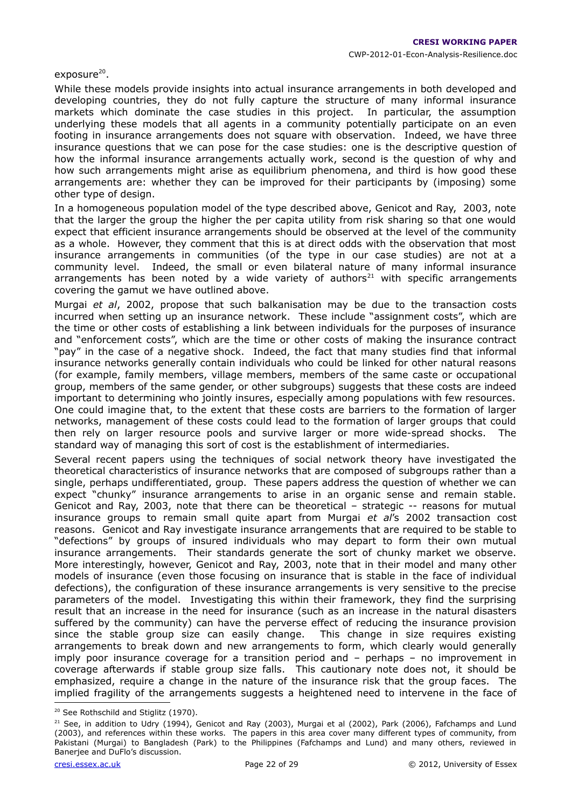exposure<sup>[20](#page-21-0)</sup>.

While these models provide insights into actual insurance arrangements in both developed and developing countries, they do not fully capture the structure of many informal insurance markets which dominate the case studies in this project. In particular, the assumption underlying these models that all agents in a community potentially participate on an even footing in insurance arrangements does not square with observation. Indeed, we have three insurance questions that we can pose for the case studies: one is the descriptive question of how the informal insurance arrangements actually work, second is the question of why and how such arrangements might arise as equilibrium phenomena, and third is how good these arrangements are: whether they can be improved for their participants by (imposing) some other type of design.

In a homogeneous population model of the type described above, Genicot and Ray, 2003, note that the larger the group the higher the per capita utility from risk sharing so that one would expect that efficient insurance arrangements should be observed at the level of the community as a whole. However, they comment that this is at direct odds with the observation that most insurance arrangements in communities (of the type in our case studies) are not at a community level. Indeed, the small or even bilateral nature of many informal insurance arrangements has been noted by a wide variety of authors<sup>[21](#page-21-1)</sup> with specific arrangements covering the gamut we have outlined above.

Murgai *et al*, 2002, propose that such balkanisation may be due to the transaction costs incurred when setting up an insurance network. These include "assignment costs", which are the time or other costs of establishing a link between individuals for the purposes of insurance and "enforcement costs", which are the time or other costs of making the insurance contract "pay" in the case of a negative shock. Indeed, the fact that many studies find that informal insurance networks generally contain individuals who could be linked for other natural reasons (for example, family members, village members, members of the same caste or occupational group, members of the same gender, or other subgroups) suggests that these costs are indeed important to determining who jointly insures, especially among populations with few resources. One could imagine that, to the extent that these costs are barriers to the formation of larger networks, management of these costs could lead to the formation of larger groups that could then rely on larger resource pools and survive larger or more wide-spread shocks. The standard way of managing this sort of cost is the establishment of intermediaries.

Several recent papers using the techniques of social network theory have investigated the theoretical characteristics of insurance networks that are composed of subgroups rather than a single, perhaps undifferentiated, group. These papers address the question of whether we can expect "chunky" insurance arrangements to arise in an organic sense and remain stable. Genicot and Ray, 2003, note that there can be theoretical – strategic -- reasons for mutual insurance groups to remain small quite apart from Murgai *et al*'s 2002 transaction cost reasons. Genicot and Ray investigate insurance arrangements that are required to be stable to "defections" by groups of insured individuals who may depart to form their own mutual insurance arrangements. Their standards generate the sort of chunky market we observe. More interestingly, however, Genicot and Ray, 2003, note that in their model and many other models of insurance (even those focusing on insurance that is stable in the face of individual defections), the configuration of these insurance arrangements is very sensitive to the precise parameters of the model. Investigating this within their framework, they find the surprising result that an increase in the need for insurance (such as an increase in the natural disasters suffered by the community) can have the perverse effect of reducing the insurance provision since the stable group size can easily change. This change in size requires existing arrangements to break down and new arrangements to form, which clearly would generally imply poor insurance coverage for a transition period and – perhaps – no improvement in coverage afterwards if stable group size falls. This cautionary note does not, it should be emphasized, require a change in the nature of the insurance risk that the group faces. The implied fragility of the arrangements suggests a heightened need to intervene in the face of

<span id="page-21-0"></span><sup>&</sup>lt;sup>20</sup> See Rothschild and Stiglitz (1970).

<span id="page-21-1"></span> $21$  See, in addition to Udry (1994), Genicot and Ray (2003), Murgai et al (2002), Park (2006), Fafchamps and Lund (2003), and references within these works. The papers in this area cover many different types of community, from Pakistani (Murgai) to Bangladesh (Park) to the Philippines (Fafchamps and Lund) and many others, reviewed in Banerjee and DuFlo's discussion.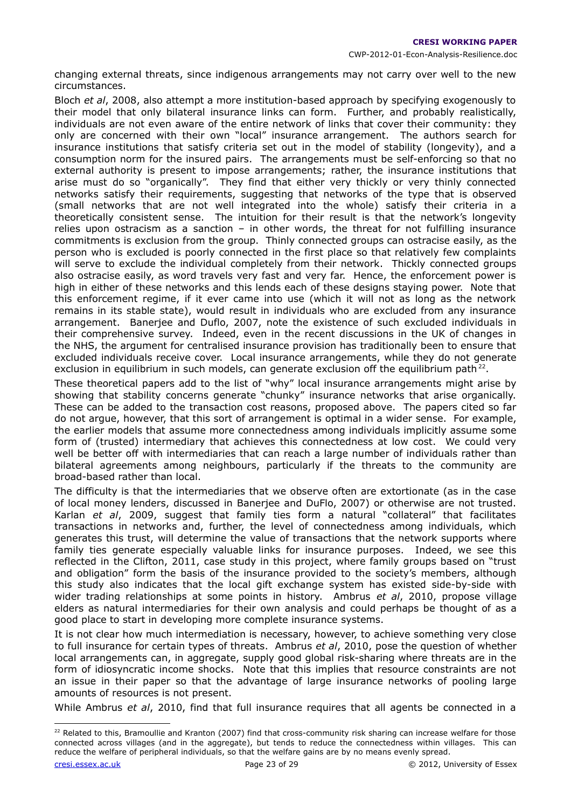changing external threats, since indigenous arrangements may not carry over well to the new circumstances.

Bloch *et al*, 2008, also attempt a more institution-based approach by specifying exogenously to their model that only bilateral insurance links can form. Further, and probably realistically, individuals are not even aware of the entire network of links that cover their community: they only are concerned with their own "local" insurance arrangement. The authors search for insurance institutions that satisfy criteria set out in the model of stability (longevity), and a consumption norm for the insured pairs. The arrangements must be self-enforcing so that no external authority is present to impose arrangements; rather, the insurance institutions that arise must do so "organically". They find that either very thickly or very thinly connected networks satisfy their requirements, suggesting that networks of the type that is observed (small networks that are not well integrated into the whole) satisfy their criteria in a theoretically consistent sense. The intuition for their result is that the network's longevity relies upon ostracism as a sanction – in other words, the threat for not fulfilling insurance commitments is exclusion from the group. Thinly connected groups can ostracise easily, as the person who is excluded is poorly connected in the first place so that relatively few complaints will serve to exclude the individual completely from their network. Thickly connected groups also ostracise easily, as word travels very fast and very far. Hence, the enforcement power is high in either of these networks and this lends each of these designs staying power. Note that this enforcement regime, if it ever came into use (which it will not as long as the network remains in its stable state), would result in individuals who are excluded from any insurance arrangement. Banerjee and Duflo, 2007, note the existence of such excluded individuals in their comprehensive survey. Indeed, even in the recent discussions in the UK of changes in the NHS, the argument for centralised insurance provision has traditionally been to ensure that excluded individuals receive cover. Local insurance arrangements, while they do not generate exclusion in equilibrium in such models, can generate exclusion off the equilibrium path<sup>[22](#page-22-0)</sup>.

These theoretical papers add to the list of "why" local insurance arrangements might arise by showing that stability concerns generate "chunky" insurance networks that arise organically. These can be added to the transaction cost reasons, proposed above. The papers cited so far do not argue, however, that this sort of arrangement is optimal in a wider sense. For example, the earlier models that assume more connectedness among individuals implicitly assume some form of (trusted) intermediary that achieves this connectedness at low cost. We could very well be better off with intermediaries that can reach a large number of individuals rather than bilateral agreements among neighbours, particularly if the threats to the community are broad-based rather than local.

The difficulty is that the intermediaries that we observe often are extortionate (as in the case of local money lenders, discussed in Banerjee and DuFlo, 2007) or otherwise are not trusted. Karlan *et al*, 2009, suggest that family ties form a natural "collateral" that facilitates transactions in networks and, further, the level of connectedness among individuals, which generates this trust, will determine the value of transactions that the network supports where family ties generate especially valuable links for insurance purposes. Indeed, we see this reflected in the Clifton, 2011, case study in this project, where family groups based on "trust and obligation" form the basis of the insurance provided to the society's members, although this study also indicates that the local gift exchange system has existed side-by-side with wider trading relationships at some points in history. Ambrus *et al*, 2010, propose village elders as natural intermediaries for their own analysis and could perhaps be thought of as a good place to start in developing more complete insurance systems.

It is not clear how much intermediation is necessary, however, to achieve something very close to full insurance for certain types of threats. Ambrus *et al*, 2010, pose the question of whether local arrangements can, in aggregate, supply good global risk-sharing where threats are in the form of idiosyncratic income shocks. Note that this implies that resource constraints are not an issue in their paper so that the advantage of large insurance networks of pooling large amounts of resources is not present.

While Ambrus *et al*, 2010, find that full insurance requires that all agents be connected in a

<span id="page-22-0"></span> $22$  Related to this, Bramoullie and Kranton (2007) find that cross-community risk sharing can increase welfare for those connected across villages (and in the aggregate), but tends to reduce the connectedness within villages. This can reduce the welfare of peripheral individuals, so that the welfare gains are by no means evenly spread.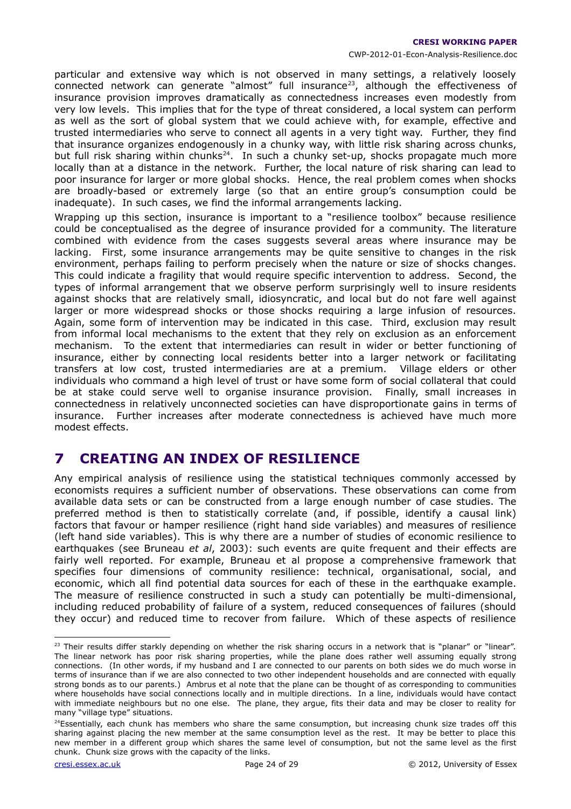particular and extensive way which is not observed in many settings, a relatively loosely connected network can generate "almost" full insurance<sup>[23](#page-23-0)</sup>, although the effectiveness of insurance provision improves dramatically as connectedness increases even modestly from very low levels. This implies that for the type of threat considered, a local system can perform as well as the sort of global system that we could achieve with, for example, effective and trusted intermediaries who serve to connect all agents in a very tight way. Further, they find that insurance organizes endogenously in a chunky way, with little risk sharing across chunks, but full risk sharing within chunks<sup>[24](#page-23-1)</sup>. In such a chunky set-up, shocks propagate much more locally than at a distance in the network. Further, the local nature of risk sharing can lead to poor insurance for larger or more global shocks. Hence, the real problem comes when shocks are broadly-based or extremely large (so that an entire group's consumption could be inadequate). In such cases, we find the informal arrangements lacking.

Wrapping up this section, insurance is important to a "resilience toolbox" because resilience could be conceptualised as the degree of insurance provided for a community. The literature combined with evidence from the cases suggests several areas where insurance may be lacking. First, some insurance arrangements may be quite sensitive to changes in the risk environment, perhaps failing to perform precisely when the nature or size of shocks changes. This could indicate a fragility that would require specific intervention to address. Second, the types of informal arrangement that we observe perform surprisingly well to insure residents against shocks that are relatively small, idiosyncratic, and local but do not fare well against larger or more widespread shocks or those shocks requiring a large infusion of resources. Again, some form of intervention may be indicated in this case. Third, exclusion may result from informal local mechanisms to the extent that they rely on exclusion as an enforcement mechanism. To the extent that intermediaries can result in wider or better functioning of insurance, either by connecting local residents better into a larger network or facilitating transfers at low cost, trusted intermediaries are at a premium. Village elders or other individuals who command a high level of trust or have some form of social collateral that could be at stake could serve well to organise insurance provision. Finally, small increases in connectedness in relatively unconnected societies can have disproportionate gains in terms of insurance. Further increases after moderate connectedness is achieved have much more modest effects.

# **7 CREATING AN INDEX OF RESILIENCE**

Any empirical analysis of resilience using the statistical techniques commonly accessed by economists requires a sufficient number of observations. These observations can come from available data sets or can be constructed from a large enough number of case studies. The preferred method is then to statistically correlate (and, if possible, identify a causal link) factors that favour or hamper resilience (right hand side variables) and measures of resilience (left hand side variables). This is why there are a number of studies of economic resilience to earthquakes (see Bruneau *et al*, 2003): such events are quite frequent and their effects are fairly well reported. For example, Bruneau et al propose a comprehensive framework that specifies four dimensions of community resilience: technical, organisational, social, and economic, which all find potential data sources for each of these in the earthquake example. The measure of resilience constructed in such a study can potentially be multi-dimensional, including reduced probability of failure of a system, reduced consequences of failures (should they occur) and reduced time to recover from failure. Which of these aspects of resilience

<span id="page-23-0"></span><sup>&</sup>lt;sup>23</sup> Their results differ starkly depending on whether the risk sharing occurs in a network that is "planar" or "linear". The linear network has poor risk sharing properties, while the plane does rather well assuming equally strong connections. (In other words, if my husband and I are connected to our parents on both sides we do much worse in terms of insurance than if we are also connected to two other independent households and are connected with equally strong bonds as to our parents.) Ambrus et al note that the plane can be thought of as corresponding to communities where households have social connections locally and in multiple directions. In a line, individuals would have contact with immediate neighbours but no one else. The plane, they argue, fits their data and may be closer to reality for many "village type" situations.

<span id="page-23-1"></span><sup>&</sup>lt;sup>24</sup>Essentially, each chunk has members who share the same consumption, but increasing chunk size trades off this sharing against placing the new member at the same consumption level as the rest. It may be better to place this new member in a different group which shares the same level of consumption, but not the same level as the first chunk. Chunk size grows with the capacity of the links.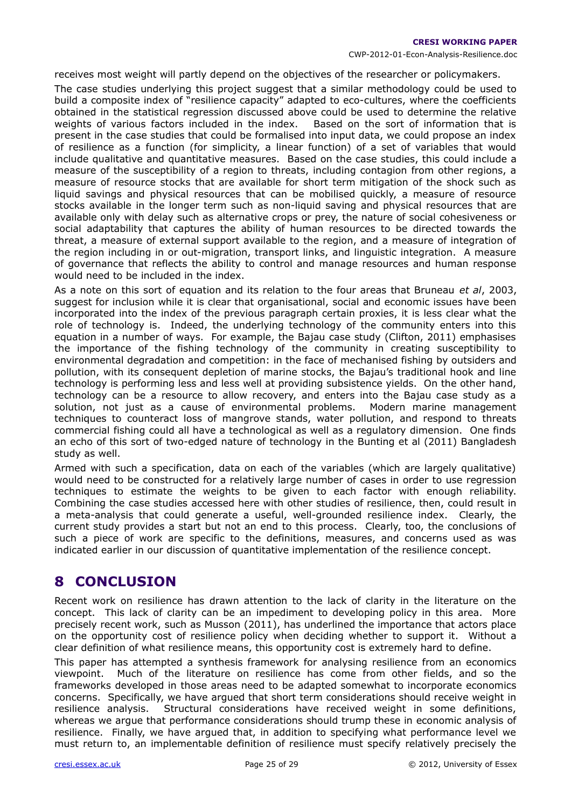#### receives most weight will partly depend on the objectives of the researcher or policymakers.

The case studies underlying this project suggest that a similar methodology could be used to build a composite index of "resilience capacity" adapted to eco-cultures, where the coefficients obtained in the statistical regression discussed above could be used to determine the relative weights of various factors included in the index. Based on the sort of information that is present in the case studies that could be formalised into input data, we could propose an index of resilience as a function (for simplicity, a linear function) of a set of variables that would include qualitative and quantitative measures. Based on the case studies, this could include a measure of the susceptibility of a region to threats, including contagion from other regions, a measure of resource stocks that are available for short term mitigation of the shock such as liquid savings and physical resources that can be mobilised quickly, a measure of resource stocks available in the longer term such as non-liquid saving and physical resources that are available only with delay such as alternative crops or prey, the nature of social cohesiveness or social adaptability that captures the ability of human resources to be directed towards the threat, a measure of external support available to the region, and a measure of integration of the region including in or out-migration, transport links, and linguistic integration. A measure of governance that reflects the ability to control and manage resources and human response would need to be included in the index.

As a note on this sort of equation and its relation to the four areas that Bruneau *et al*, 2003, suggest for inclusion while it is clear that organisational, social and economic issues have been incorporated into the index of the previous paragraph certain proxies, it is less clear what the role of technology is. Indeed, the underlying technology of the community enters into this equation in a number of ways. For example, the Bajau case study (Clifton, 2011) emphasises the importance of the fishing technology of the community in creating susceptibility to environmental degradation and competition: in the face of mechanised fishing by outsiders and pollution, with its consequent depletion of marine stocks, the Bajau's traditional hook and line technology is performing less and less well at providing subsistence yields. On the other hand, technology can be a resource to allow recovery, and enters into the Bajau case study as a solution, not just as a cause of environmental problems. Modern marine management techniques to counteract loss of mangrove stands, water pollution, and respond to threats commercial fishing could all have a technological as well as a regulatory dimension. One finds an echo of this sort of two-edged nature of technology in the Bunting et al (2011) Bangladesh study as well.

Armed with such a specification, data on each of the variables (which are largely qualitative) would need to be constructed for a relatively large number of cases in order to use regression techniques to estimate the weights to be given to each factor with enough reliability. Combining the case studies accessed here with other studies of resilience, then, could result in a meta-analysis that could generate a useful, well-grounded resilience index. Clearly, the current study provides a start but not an end to this process. Clearly, too, the conclusions of such a piece of work are specific to the definitions, measures, and concerns used as was indicated earlier in our discussion of quantitative implementation of the resilience concept.

# **8 CONCLUSION**

Recent work on resilience has drawn attention to the lack of clarity in the literature on the concept. This lack of clarity can be an impediment to developing policy in this area. More precisely recent work, such as Musson (2011), has underlined the importance that actors place on the opportunity cost of resilience policy when deciding whether to support it. Without a clear definition of what resilience means, this opportunity cost is extremely hard to define.

This paper has attempted a synthesis framework for analysing resilience from an economics viewpoint. Much of the literature on resilience has come from other fields, and so the frameworks developed in those areas need to be adapted somewhat to incorporate economics concerns. Specifically, we have argued that short term considerations should receive weight in resilience analysis. Structural considerations have received weight in some definitions, whereas we argue that performance considerations should trump these in economic analysis of resilience. Finally, we have argued that, in addition to specifying what performance level we must return to, an implementable definition of resilience must specify relatively precisely the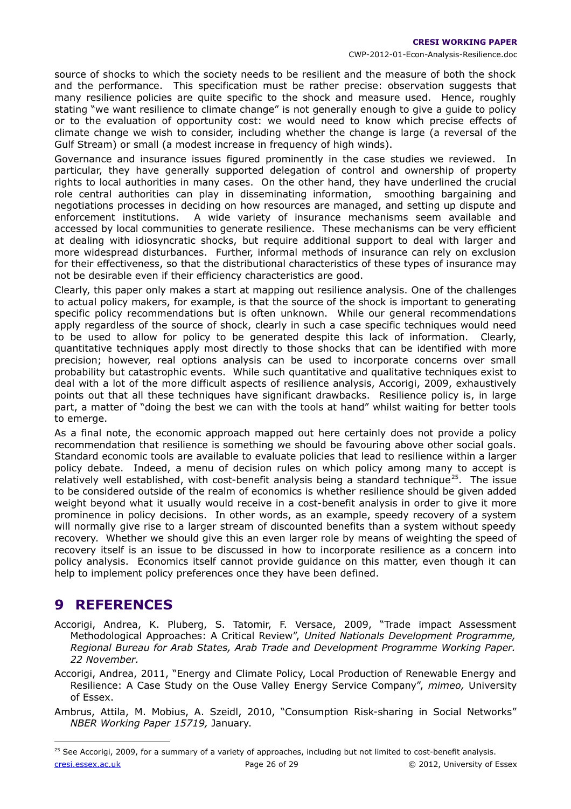source of shocks to which the society needs to be resilient and the measure of both the shock and the performance. This specification must be rather precise: observation suggests that many resilience policies are quite specific to the shock and measure used. Hence, roughly stating "we want resilience to climate change" is not generally enough to give a guide to policy or to the evaluation of opportunity cost: we would need to know which precise effects of climate change we wish to consider, including whether the change is large (a reversal of the Gulf Stream) or small (a modest increase in frequency of high winds).

Governance and insurance issues figured prominently in the case studies we reviewed. In particular, they have generally supported delegation of control and ownership of property rights to local authorities in many cases. On the other hand, they have underlined the crucial role central authorities can play in disseminating information, smoothing bargaining and negotiations processes in deciding on how resources are managed, and setting up dispute and enforcement institutions. A wide variety of insurance mechanisms seem available and accessed by local communities to generate resilience. These mechanisms can be very efficient at dealing with idiosyncratic shocks, but require additional support to deal with larger and more widespread disturbances. Further, informal methods of insurance can rely on exclusion for their effectiveness, so that the distributional characteristics of these types of insurance may not be desirable even if their efficiency characteristics are good.

Clearly, this paper only makes a start at mapping out resilience analysis. One of the challenges to actual policy makers, for example, is that the source of the shock is important to generating specific policy recommendations but is often unknown. While our general recommendations apply regardless of the source of shock, clearly in such a case specific techniques would need to be used to allow for policy to be generated despite this lack of information. Clearly, quantitative techniques apply most directly to those shocks that can be identified with more precision; however, real options analysis can be used to incorporate concerns over small probability but catastrophic events. While such quantitative and qualitative techniques exist to deal with a lot of the more difficult aspects of resilience analysis, Accorigi, 2009, exhaustively points out that all these techniques have significant drawbacks. Resilience policy is, in large part, a matter of "doing the best we can with the tools at hand" whilst waiting for better tools to emerge.

As a final note, the economic approach mapped out here certainly does not provide a policy recommendation that resilience is something we should be favouring above other social goals. Standard economic tools are available to evaluate policies that lead to resilience within a larger policy debate. Indeed, a menu of decision rules on which policy among many to accept is relatively well established, with cost-benefit analysis being a standard technique<sup>[25](#page-25-0)</sup>. The issue to be considered outside of the realm of economics is whether resilience should be given added weight beyond what it usually would receive in a cost-benefit analysis in order to give it more prominence in policy decisions. In other words, as an example, speedy recovery of a system will normally give rise to a larger stream of discounted benefits than a system without speedy recovery. Whether we should give this an even larger role by means of weighting the speed of recovery itself is an issue to be discussed in how to incorporate resilience as a concern into policy analysis. Economics itself cannot provide guidance on this matter, even though it can help to implement policy preferences once they have been defined.

# **9 REFERENCES**

- Accorigi, Andrea, K. Pluberg, S. Tatomir, F. Versace, 2009, "Trade impact Assessment Methodological Approaches: A Critical Review", *United Nationals Development Programme, Regional Bureau for Arab States, Arab Trade and Development Programme Working Paper. 22 November.*
- Accorigi, Andrea, 2011, "Energy and Climate Policy, Local Production of Renewable Energy and Resilience: A Case Study on the Ouse Valley Energy Service Company", *mimeo,* University of Essex.
- Ambrus, Attila, M. Mobius, A. Szeidl, 2010, "Consumption Risk-sharing in Social Networks" *NBER Working Paper 15719,* January.

<span id="page-25-0"></span> $25$  See Accorigi, 2009, for a summary of a variety of approaches, including but not limited to cost-benefit analysis. [cresi.essex.ac.uk](http://cresi.essex.ac.uk/) Page 26 of 29 © 2012, University of Essex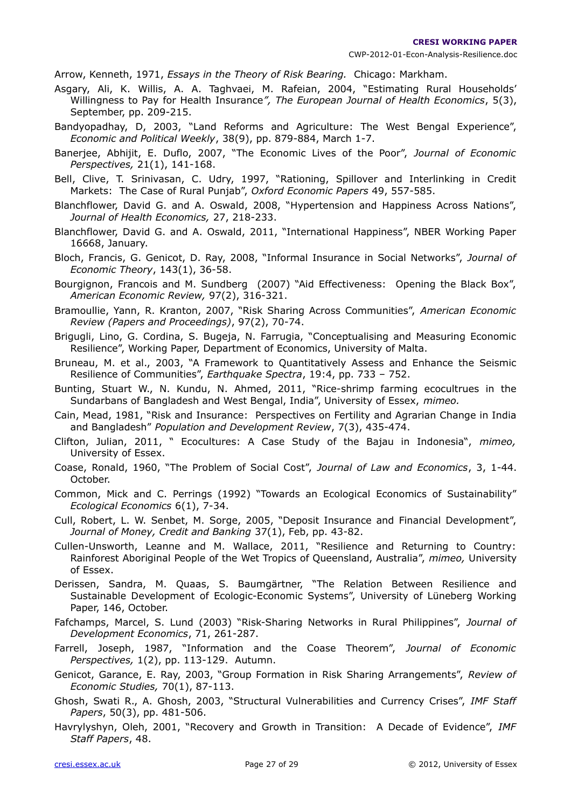Arrow, Kenneth, 1971, *Essays in the Theory of Risk Bearing.* Chicago: Markham.

- Asgary, Ali, K. Willis, A. A. Taghvaei, M. Rafeian, 2004, "Estimating Rural Households' Willingness to Pay for Health Insurance*", The European Journal of Health Economics*, 5(3), September, pp. 209-215.
- Bandyopadhay, D, 2003, "Land Reforms and Agriculture: The West Bengal Experience", *Economic and Political Weekly*, 38(9), pp. 879-884, March 1-7.
- Banerjee, Abhijit, E. Duflo, 2007, "The Economic Lives of the Poor", *Journal of Economic Perspectives,* 21(1), 141-168.
- Bell, Clive, T. Srinivasan, C. Udry, 1997, "Rationing, Spillover and Interlinking in Credit Markets: The Case of Rural Punjab", *Oxford Economic Papers* 49, 557-585.
- Blanchflower, David G. and A. Oswald, 2008, "Hypertension and Happiness Across Nations", *Journal of Health Economics,* 27, 218-233.
- Blanchflower, David G. and A. Oswald, 2011, "International Happiness", NBER Working Paper 16668, January.
- Bloch, Francis, G. Genicot, D. Ray, 2008, "Informal Insurance in Social Networks", *Journal of Economic Theory*, 143(1), 36-58.
- Bourgignon, Francois and M. Sundberg (2007) "Aid Effectiveness: Opening the Black Box", *American Economic Review,* 97(2), 316-321.
- Bramoullie, Yann, R. Kranton, 2007, "Risk Sharing Across Communities", *American Economic Review (Papers and Proceedings)*, 97(2), 70-74.
- Brigugli, Lino, G. Cordina, S. Bugeja, N. Farrugia, "Conceptualising and Measuring Economic Resilience", Working Paper, Department of Economics, University of Malta.
- Bruneau, M. et al., 2003, "A Framework to Quantitatively Assess and Enhance the Seismic Resilience of Communities", *Earthquake Spectra*, 19:4, pp. 733 – 752.
- Bunting, Stuart W., N. Kundu, N. Ahmed, 2011, "Rice-shrimp farming ecocultrues in the Sundarbans of Bangladesh and West Bengal, India", University of Essex, *mimeo.*
- Cain, Mead, 1981, "Risk and Insurance: Perspectives on Fertility and Agrarian Change in India and Bangladesh" *Population and Development Review*, 7(3), 435-474.
- Clifton, Julian, 2011, " Ecocultures: A Case Study of the Bajau in Indonesia", *mimeo,* University of Essex.
- Coase, Ronald, 1960, "The Problem of Social Cost", *Journal of Law and Economics*, 3, 1-44. October.
- Common, Mick and C. Perrings (1992) "Towards an Ecological Economics of Sustainability" *Ecological Economics* 6(1), 7-34.
- Cull, Robert, L. W. Senbet, M. Sorge, 2005, "Deposit Insurance and Financial Development", *Journal of Money, Credit and Banking* 37(1), Feb, pp. 43-82.
- Cullen-Unsworth, Leanne and M. Wallace, 2011, "Resilience and Returning to Country: Rainforest Aboriginal People of the Wet Tropics of Queensland, Australia", *mimeo,* University of Essex.
- Derissen, Sandra, M. Quaas, S. Baumgärtner, "The Relation Between Resilience and Sustainable Development of Ecologic-Economic Systems", University of Lüneberg Working Paper, 146, October.
- Fafchamps, Marcel, S. Lund (2003) "Risk-Sharing Networks in Rural Philippines", *Journal of Development Economics*, 71, 261-287.
- Farrell, Joseph, 1987, "Information and the Coase Theorem", *Journal of Economic Perspectives,* 1(2), pp. 113-129. Autumn.
- Genicot, Garance, E. Ray, 2003, "Group Formation in Risk Sharing Arrangements", *Review of Economic Studies,* 70(1), 87-113.
- Ghosh, Swati R., A. Ghosh, 2003, "Structural Vulnerabilities and Currency Crises", *IMF Staff Papers*, 50(3), pp. 481-506.
- Havrylyshyn, Oleh, 2001, "Recovery and Growth in Transition: A Decade of Evidence", *IMF Staff Papers*, 48.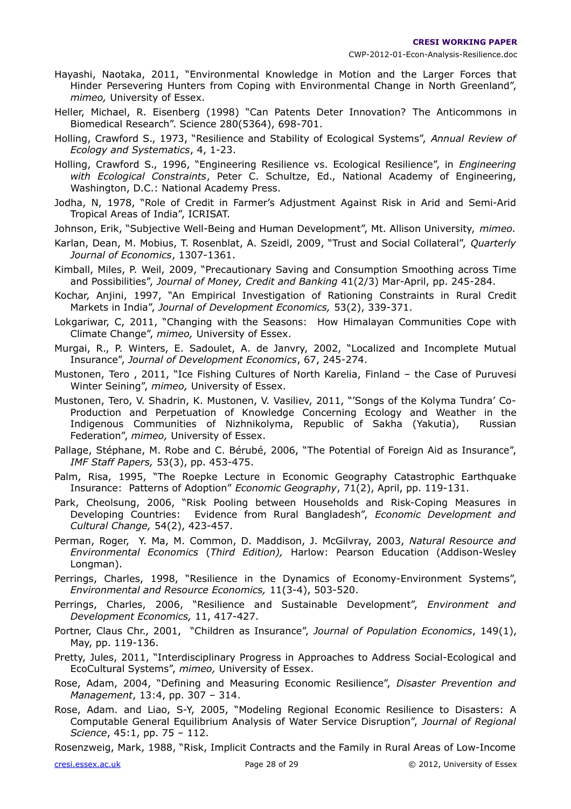- Hayashi, Naotaka, 2011, "Environmental Knowledge in Motion and the Larger Forces that Hinder Persevering Hunters from Coping with Environmental Change in North Greenland", *mimeo,* University of Essex.
- Heller, Michael, R. Eisenberg (1998) "Can Patents Deter Innovation? The Anticommons in Biomedical Research". Science 280(5364), 698-701.
- Holling, Crawford S., 1973, "Resilience and Stability of Ecological Systems", *Annual Review of Ecology and Systematics*, 4, 1-23.
- Holling, Crawford S., 1996, "Engineering Resilience vs. Ecological Resilience", in *Engineering with Ecological Constraints*, Peter C. Schultze, Ed., National Academy of Engineering, Washington, D.C.: National Academy Press.
- Jodha, N, 1978, "Role of Credit in Farmer's Adjustment Against Risk in Arid and Semi-Arid Tropical Areas of India", ICRISAT.
- Johnson, Erik, "Subjective Well-Being and Human Development", Mt. Allison University, *mimeo.*
- Karlan, Dean, M. Mobius, T. Rosenblat, A. Szeidl, 2009, "Trust and Social Collateral", *Quarterly Journal of Economics*, 1307-1361.
- Kimball, Miles, P. Weil, 2009, "Precautionary Saving and Consumption Smoothing across Time and Possibilities", *Journal of Money, Credit and Banking* 41(2/3) Mar-April, pp. 245-284.
- Kochar, Anjini, 1997, "An Empirical Investigation of Rationing Constraints in Rural Credit Markets in India", *Journal of Development Economics,* 53(2), 339-371.
- Lokgariwar, C, 2011, "Changing with the Seasons: How Himalayan Communities Cope with Climate Change", *mimeo,* University of Essex.
- Murgai, R., P. Winters, E. Sadoulet, A. de Janvry, 2002, "Localized and Incomplete Mutual Insurance", *Journal of Development Economics*, 67, 245-274.
- Mustonen, Tero , 2011, "Ice Fishing Cultures of North Karelia, Finland the Case of Puruvesi Winter Seining", *mimeo,* University of Essex.
- Mustonen, Tero, V. Shadrin, K. Mustonen, V. Vasiliev, 2011, "'Songs of the Kolyma Tundra' Co-Production and Perpetuation of Knowledge Concerning Ecology and Weather in the Indigenous Communities of Nizhnikolyma, Republic of Sakha (Yakutia), Russian Federation", *mimeo,* University of Essex.
- Pallage, Stéphane, M. Robe and C. Bérubé, 2006, "The Potential of Foreign Aid as Insurance", *IMF Staff Papers,* 53(3), pp. 453-475.
- Palm, Risa, 1995, "The Roepke Lecture in Economic Geography Catastrophic Earthquake Insurance: Patterns of Adoption" *Economic Geography*, 71(2), April, pp. 119-131.
- Park, Cheolsung, 2006, "Risk Pooling between Households and Risk-Coping Measures in Developing Countries: Evidence from Rural Bangladesh", *Economic Development and Cultural Change,* 54(2), 423-457.
- Perman, Roger, Y. Ma, M. Common, D. Maddison, J. McGilvray, 2003, *Natural Resource and Environmental Economics* (*Third Edition),* Harlow: Pearson Education (Addison-Wesley Longman).
- Perrings, Charles, 1998, "Resilience in the Dynamics of Economy-Environment Systems", *Environmental and Resource Economics,* 11(3-4), 503-520.
- Perrings, Charles, 2006, "Resilience and Sustainable Development", *Environment and Development Economics,* 11, 417-427.
- Portner, Claus Chr., 2001, "Children as Insurance", *Journal of Population Economics*, 149(1), May, pp. 119-136.
- Pretty, Jules, 2011, "Interdisciplinary Progress in Approaches to Address Social-Ecological and EcoCultural Systems", *mimeo,* University of Essex.
- Rose, Adam, 2004, "Defining and Measuring Economic Resilience", *Disaster Prevention and Management*, 13:4, pp. 307 – 314.
- Rose, Adam. and Liao, S-Y, 2005, "Modeling Regional Economic Resilience to Disasters: A Computable General Equilibrium Analysis of Water Service Disruption", *Journal of Regional Science*, 45:1, pp. 75 – 112.
- Rosenzweig, Mark, 1988, "Risk, Implicit Contracts and the Family in Rural Areas of Low-Income